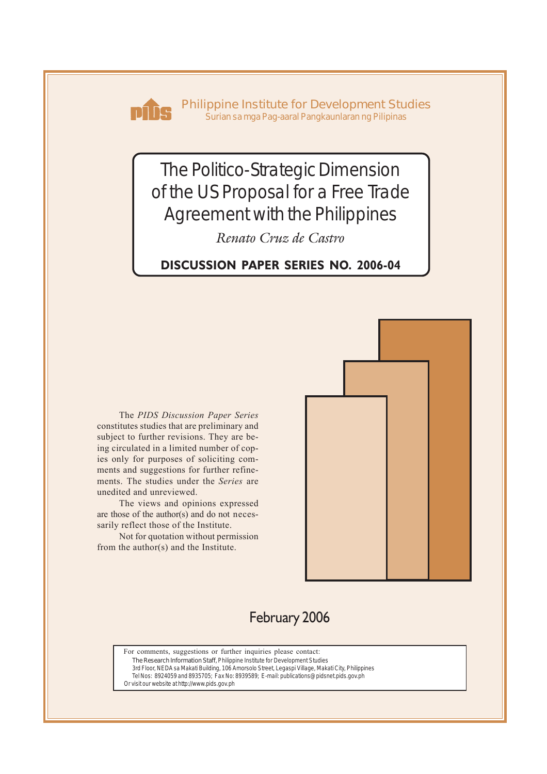

**Philippine Institute for Development Studies** *Surian sa mga Pag-aaral Pangkaunlaran ng Pilipinas*

# The Politico-Strategic Dimension of the US Proposal for a Free Trade Agreement with the Philippines

*Renato Cruz de Castro*

**DISCUSSION PAPER SERIES NO. 2006-04**

The *PIDS Discussion Paper Series* constitutes studies that are preliminary and subject to further revisions. They are being circulated in a limited number of copies only for purposes of soliciting comments and suggestions for further refinements. The studies under the *Series* are unedited and unreviewed.

The views and opinions expressed are those of the author(s) and do not necessarily reflect those of the Institute.

Not for quotation without permission from the author(s) and the Institute.



## February 2006

For comments, suggestions or further inquiries please contact:

**The Research Information Staff,** Philippine Institute for Development Studies 3rd Floor, NEDA sa Makati Building, 106 Amorsolo Street, Legaspi Village, Makati City, Philippines

Tel Nos: 8924059 and 8935705; Fax No: 8939589; E-mail: publications@pidsnet.pids.gov.ph

Or visit our website at http://www.pids.gov.ph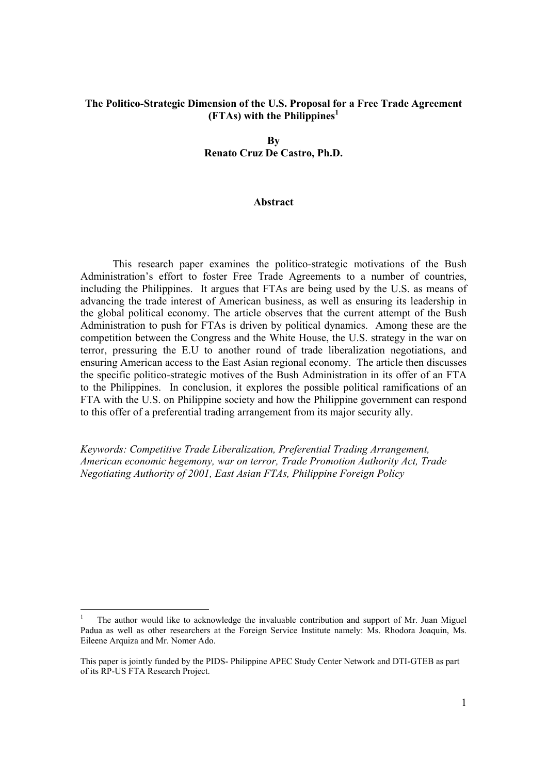#### **The Politico-Strategic Dimension of the U.S. Proposal for a Free Trade Agreement (FTAs) with the Philippines<sup>1</sup>**

**By Renato Cruz De Castro, Ph.D.** 

#### **Abstract**

This research paper examines the politico-strategic motivations of the Bush Administration's effort to foster Free Trade Agreements to a number of countries, including the Philippines. It argues that FTAs are being used by the U.S. as means of advancing the trade interest of American business, as well as ensuring its leadership in the global political economy. The article observes that the current attempt of the Bush Administration to push for FTAs is driven by political dynamics. Among these are the competition between the Congress and the White House, the U.S. strategy in the war on terror, pressuring the E.U to another round of trade liberalization negotiations, and ensuring American access to the East Asian regional economy. The article then discusses the specific politico-strategic motives of the Bush Administration in its offer of an FTA to the Philippines. In conclusion, it explores the possible political ramifications of an FTA with the U.S. on Philippine society and how the Philippine government can respond to this offer of a preferential trading arrangement from its major security ally.

*Keywords: Competitive Trade Liberalization, Preferential Trading Arrangement, American economic hegemony, war on terror, Trade Promotion Authority Act, Trade Negotiating Authority of 2001, East Asian FTAs, Philippine Foreign Policy* 

<sup>1</sup> The author would like to acknowledge the invaluable contribution and support of Mr. Juan Miguel Padua as well as other researchers at the Foreign Service Institute namely: Ms. Rhodora Joaquin, Ms. Eileene Arquiza and Mr. Nomer Ado.

This paper is jointly funded by the PIDS- Philippine APEC Study Center Network and DTI-GTEB as part of its RP-US FTA Research Project.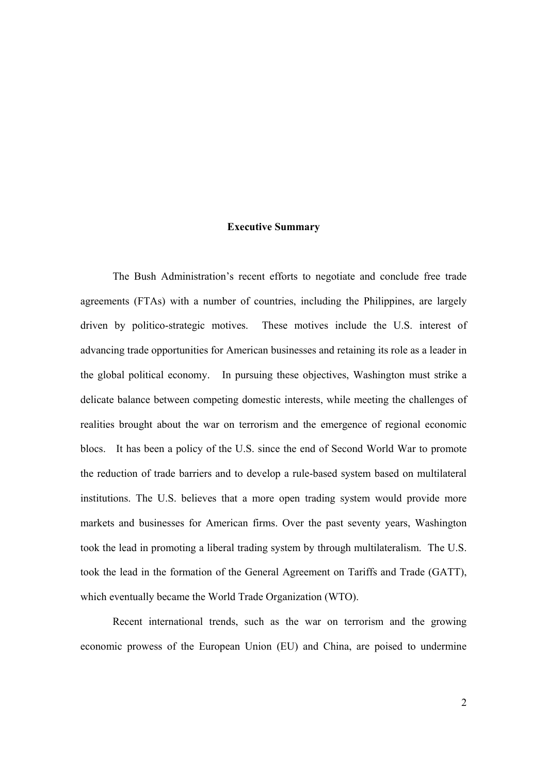#### **Executive Summary**

The Bush Administration's recent efforts to negotiate and conclude free trade agreements (FTAs) with a number of countries, including the Philippines, are largely driven by politico-strategic motives. These motives include the U.S. interest of advancing trade opportunities for American businesses and retaining its role as a leader in the global political economy. In pursuing these objectives, Washington must strike a delicate balance between competing domestic interests, while meeting the challenges of realities brought about the war on terrorism and the emergence of regional economic blocs. It has been a policy of the U.S. since the end of Second World War to promote the reduction of trade barriers and to develop a rule-based system based on multilateral institutions. The U.S. believes that a more open trading system would provide more markets and businesses for American firms. Over the past seventy years, Washington took the lead in promoting a liberal trading system by through multilateralism. The U.S. took the lead in the formation of the General Agreement on Tariffs and Trade (GATT), which eventually became the World Trade Organization (WTO).

Recent international trends, such as the war on terrorism and the growing economic prowess of the European Union (EU) and China, are poised to undermine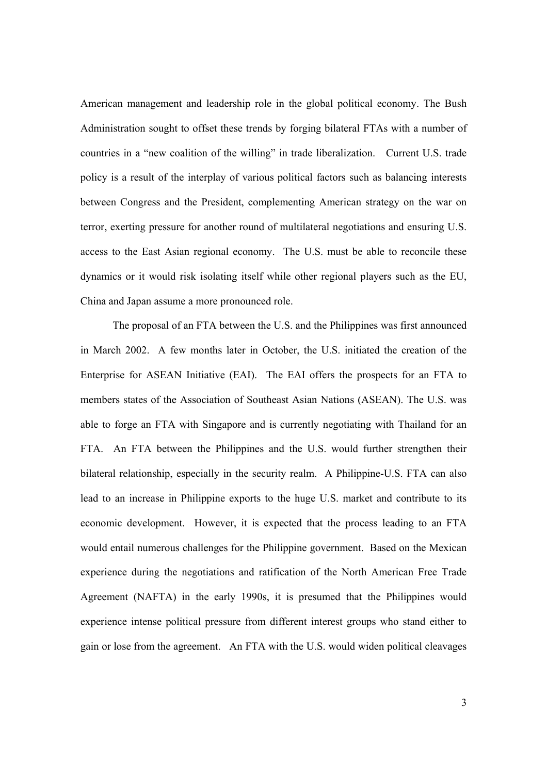American management and leadership role in the global political economy. The Bush Administration sought to offset these trends by forging bilateral FTAs with a number of countries in a "new coalition of the willing" in trade liberalization. Current U.S. trade policy is a result of the interplay of various political factors such as balancing interests between Congress and the President, complementing American strategy on the war on terror, exerting pressure for another round of multilateral negotiations and ensuring U.S. access to the East Asian regional economy. The U.S. must be able to reconcile these dynamics or it would risk isolating itself while other regional players such as the EU, China and Japan assume a more pronounced role.

The proposal of an FTA between the U.S. and the Philippines was first announced in March 2002. A few months later in October, the U.S. initiated the creation of the Enterprise for ASEAN Initiative (EAI). The EAI offers the prospects for an FTA to members states of the Association of Southeast Asian Nations (ASEAN). The U.S. was able to forge an FTA with Singapore and is currently negotiating with Thailand for an FTA. An FTA between the Philippines and the U.S. would further strengthen their bilateral relationship, especially in the security realm. A Philippine-U.S. FTA can also lead to an increase in Philippine exports to the huge U.S. market and contribute to its economic development. However, it is expected that the process leading to an FTA would entail numerous challenges for the Philippine government. Based on the Mexican experience during the negotiations and ratification of the North American Free Trade Agreement (NAFTA) in the early 1990s, it is presumed that the Philippines would experience intense political pressure from different interest groups who stand either to gain or lose from the agreement. An FTA with the U.S. would widen political cleavages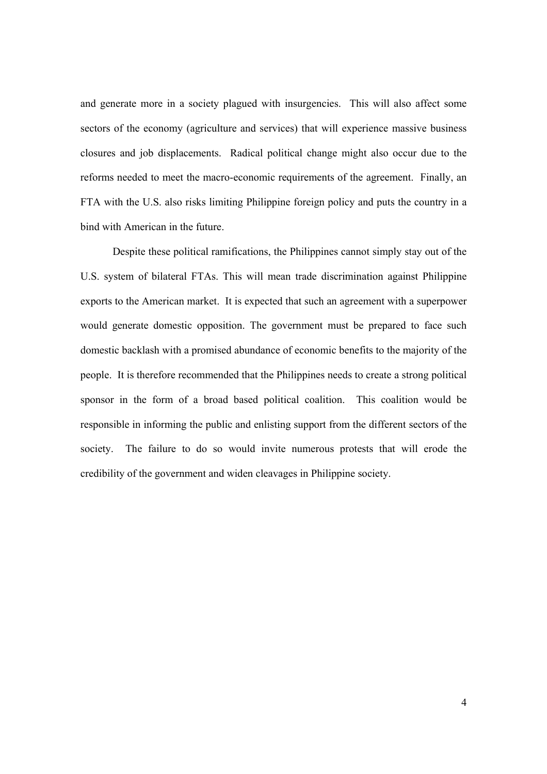and generate more in a society plagued with insurgencies. This will also affect some sectors of the economy (agriculture and services) that will experience massive business closures and job displacements. Radical political change might also occur due to the reforms needed to meet the macro-economic requirements of the agreement. Finally, an FTA with the U.S. also risks limiting Philippine foreign policy and puts the country in a bind with American in the future.

 Despite these political ramifications, the Philippines cannot simply stay out of the U.S. system of bilateral FTAs. This will mean trade discrimination against Philippine exports to the American market. It is expected that such an agreement with a superpower would generate domestic opposition. The government must be prepared to face such domestic backlash with a promised abundance of economic benefits to the majority of the people. It is therefore recommended that the Philippines needs to create a strong political sponsor in the form of a broad based political coalition. This coalition would be responsible in informing the public and enlisting support from the different sectors of the society. The failure to do so would invite numerous protests that will erode the credibility of the government and widen cleavages in Philippine society.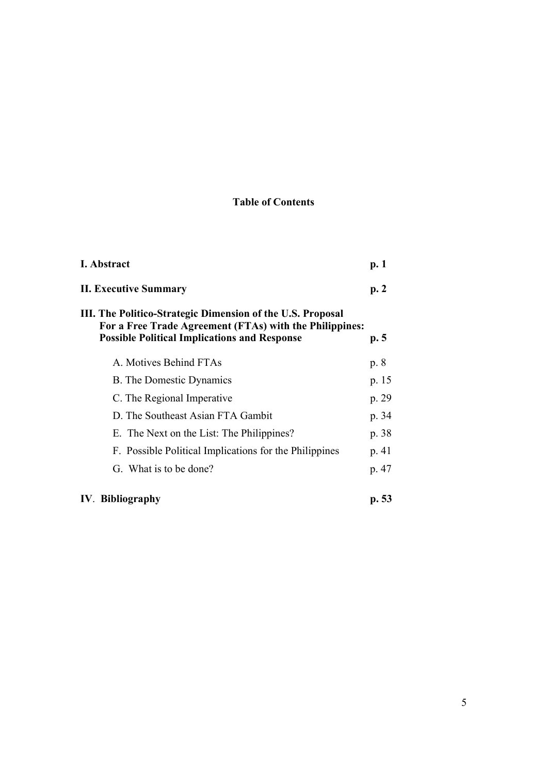### **Table of Contents**

| I. Abstract                                                                                                                                                                  | p.1   |
|------------------------------------------------------------------------------------------------------------------------------------------------------------------------------|-------|
| <b>II. Executive Summary</b>                                                                                                                                                 | p.2   |
| III. The Politico-Strategic Dimension of the U.S. Proposal<br>For a Free Trade Agreement (FTAs) with the Philippines:<br><b>Possible Political Implications and Response</b> | p.5   |
| A. Motives Behind FTAs                                                                                                                                                       | p. 8  |
| <b>B.</b> The Domestic Dynamics                                                                                                                                              | p. 15 |
| C. The Regional Imperative                                                                                                                                                   | p. 29 |
| D. The Southeast Asian FTA Gambit                                                                                                                                            | p. 34 |
| E. The Next on the List: The Philippines?                                                                                                                                    | p. 38 |
| F. Possible Political Implications for the Philippines                                                                                                                       | p. 41 |
| G. What is to be done?                                                                                                                                                       | p. 47 |
| <b>IV.</b> Bibliography                                                                                                                                                      | p. 53 |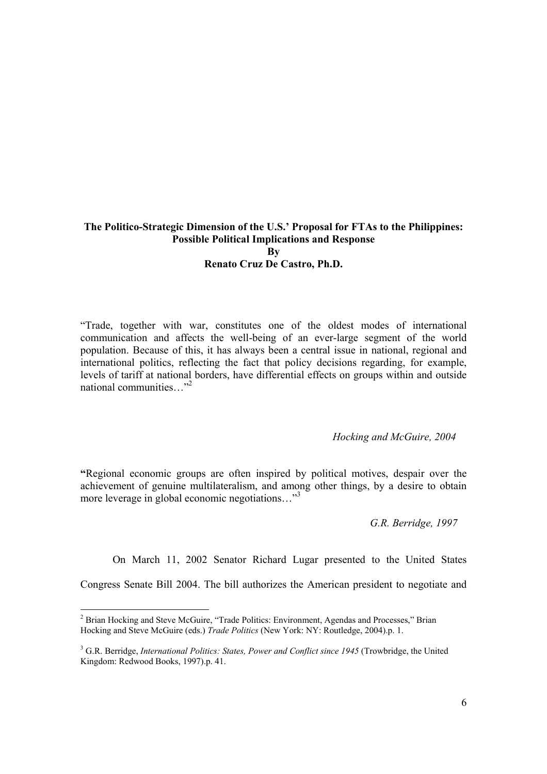#### **The Politico-Strategic Dimension of the U.S.' Proposal for FTAs to the Philippines: Possible Political Implications and Response By Renato Cruz De Castro, Ph.D.**

"Trade, together with war, constitutes one of the oldest modes of international communication and affects the well-being of an ever-large segment of the world population. Because of this, it has always been a central issue in national, regional and international politics, reflecting the fact that policy decisions regarding, for example, levels of tariff at national borders, have differential effects on groups within and outside national communities..."<sup>2</sup>

#### *Hocking and McGuire, 2004*

**"**Regional economic groups are often inspired by political motives, despair over the achievement of genuine multilateralism, and among other things, by a desire to obtain more leverage in global economic negotiations..."<sup>3</sup>

*G.R. Berridge, 1997* 

On March 11, 2002 Senator Richard Lugar presented to the United States

Congress Senate Bill 2004. The bill authorizes the American president to negotiate and

<sup>&</sup>lt;sup>2</sup> Brian Hocking and Steve McGuire, "Trade Politics: Environment, Agendas and Processes," Brian Hocking and Steve McGuire (eds.) *Trade Politics* (New York: NY: Routledge, 2004).p. 1.

<sup>&</sup>lt;sup>3</sup> G.R. Berridge, *International Politics: States, Power and Conflict since 1945* (Trowbridge, the United Kingdom: Redwood Books, 1997).p. 41.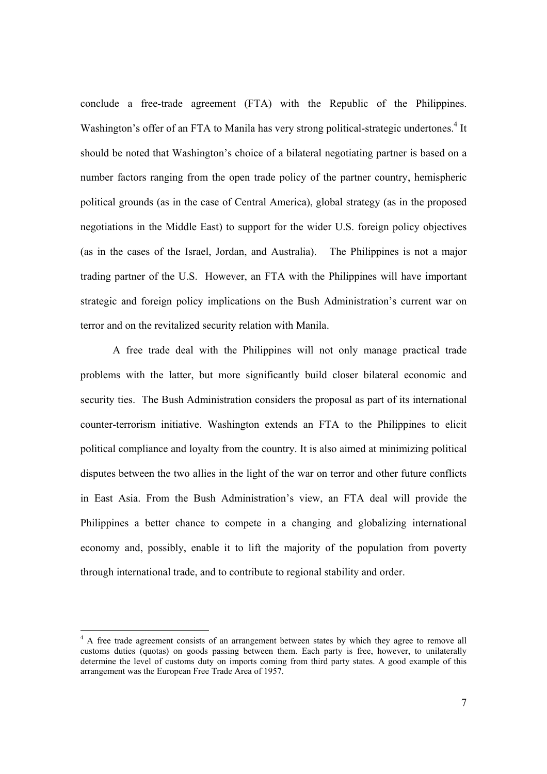conclude a free-trade agreement (FTA) with the Republic of the Philippines. Washington's offer of an FTA to Manila has very strong political-strategic undertones.<sup>4</sup> It should be noted that Washington's choice of a bilateral negotiating partner is based on a number factors ranging from the open trade policy of the partner country, hemispheric political grounds (as in the case of Central America), global strategy (as in the proposed negotiations in the Middle East) to support for the wider U.S. foreign policy objectives (as in the cases of the Israel, Jordan, and Australia). The Philippines is not a major trading partner of the U.S. However, an FTA with the Philippines will have important strategic and foreign policy implications on the Bush Administration's current war on terror and on the revitalized security relation with Manila.

A free trade deal with the Philippines will not only manage practical trade problems with the latter, but more significantly build closer bilateral economic and security ties. The Bush Administration considers the proposal as part of its international counter-terrorism initiative. Washington extends an FTA to the Philippines to elicit political compliance and loyalty from the country. It is also aimed at minimizing political disputes between the two allies in the light of the war on terror and other future conflicts in East Asia. From the Bush Administration's view, an FTA deal will provide the Philippines a better chance to compete in a changing and globalizing international economy and, possibly, enable it to lift the majority of the population from poverty through international trade, and to contribute to regional stability and order.

<sup>&</sup>lt;sup>4</sup> A free trade agreement consists of an arrangement between states by which they agree to remove all customs duties (quotas) on goods passing between them. Each party is free, however, to unilaterally determine the level of customs duty on imports coming from third party states. A good example of this arrangement was the European Free Trade Area of 1957.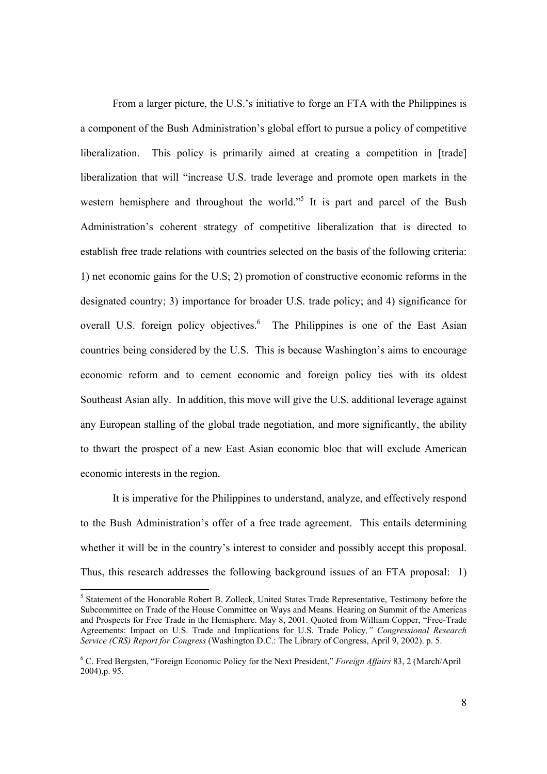From a larger picture, the U.S.'s initiative to forge an FTA with the Philippines is a component of the Bush Administration's global effort to pursue a policy of competitive liberalization. This policy is primarily aimed at creating a competition in [trade] liberalization that will "increase U.S. trade leverage and promote open markets in the western hemisphere and throughout the world."<sup>5</sup> It is part and parcel of the Bush Administration's coherent strategy of competitive liberalization that is directed to establish free trade relations with countries selected on the basis of the following criteria: 1) net economic gains for the U.S; 2) promotion of constructive economic reforms in the designated country; 3) importance for broader U.S. trade policy; and 4) significance for overall U.S. foreign policy objectives.<sup>6</sup> The Philippines is one of the East Asian countries being considered by the U.S. This is because Washington's aims to encourage economic reform and to cement economic and foreign policy ties with its oldest Southeast Asian ally. In addition, this move will give the U.S. additional leverage against any European stalling of the global trade negotiation, and more significantly, the ability to thwart the prospect of a new East Asian economic bloc that will exclude American economic interests in the region.

It is imperative for the Philippines to understand, analyze, and effectively respond to the Bush Administration's offer of a free trade agreement. This entails determining whether it will be in the country's interest to consider and possibly accept this proposal. Thus, this research addresses the following background issues of an FTA proposal: 1)

<sup>&</sup>lt;sup>5</sup> Statement of the Honorable Robert B. Zolleck, United States Trade Representative, Testimony before the Subcommittee on Trade of the House Committee on Ways and Means. Hearing on Summit of the Americas and Prospects for Free Trade in the Hemisphere. May 8, 2001. Quoted from William Copper, "Free-Trade Agreements: Impact on U.S. Trade and Implications for U.S. Trade Policy*," Congressional Research Service (CRS) Report for Congress* (Washington D.C.: The Library of Congress, April 9, 2002). p. 5.

<sup>6</sup> C. Fred Bergsten, "Foreign Economic Policy for the Next President," *Foreign Affairs* 83, 2 (March/April 2004).p. 95.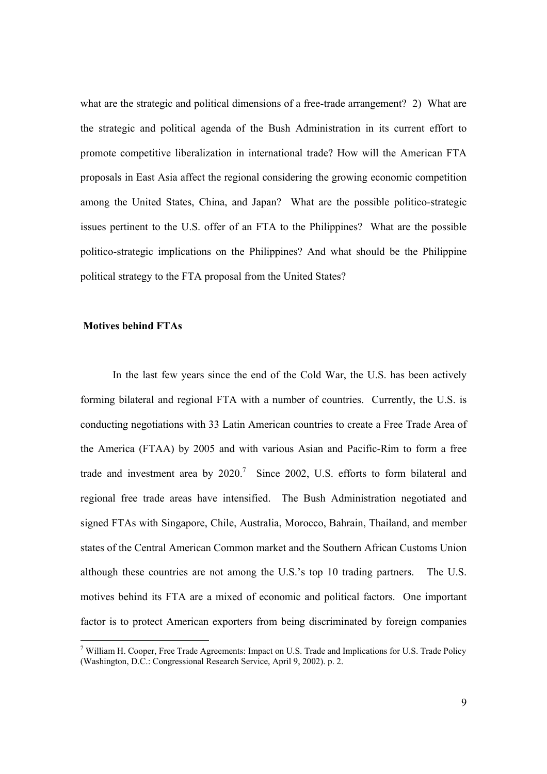what are the strategic and political dimensions of a free-trade arrangement? 2) What are the strategic and political agenda of the Bush Administration in its current effort to promote competitive liberalization in international trade? How will the American FTA proposals in East Asia affect the regional considering the growing economic competition among the United States, China, and Japan? What are the possible politico-strategic issues pertinent to the U.S. offer of an FTA to the Philippines? What are the possible politico-strategic implications on the Philippines? And what should be the Philippine political strategy to the FTA proposal from the United States?

#### **Motives behind FTAs**

In the last few years since the end of the Cold War, the U.S. has been actively forming bilateral and regional FTA with a number of countries. Currently, the U.S. is conducting negotiations with 33 Latin American countries to create a Free Trade Area of the America (FTAA) by 2005 and with various Asian and Pacific-Rim to form a free trade and investment area by  $2020$ .<sup>7</sup> Since 2002, U.S. efforts to form bilateral and regional free trade areas have intensified. The Bush Administration negotiated and signed FTAs with Singapore, Chile, Australia, Morocco, Bahrain, Thailand, and member states of the Central American Common market and the Southern African Customs Union although these countries are not among the U.S.'s top 10 trading partners. The U.S. motives behind its FTA are a mixed of economic and political factors. One important factor is to protect American exporters from being discriminated by foreign companies

<sup>&</sup>lt;sup>7</sup> William H. Cooper, Free Trade Agreements: Impact on U.S. Trade and Implications for U.S. Trade Policy (Washington, D.C.: Congressional Research Service, April 9, 2002). p. 2.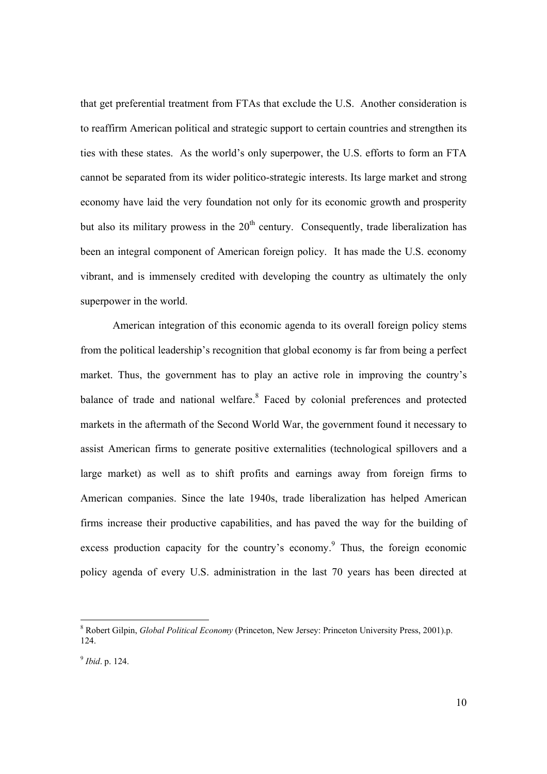that get preferential treatment from FTAs that exclude the U.S. Another consideration is to reaffirm American political and strategic support to certain countries and strengthen its ties with these states. As the world's only superpower, the U.S. efforts to form an FTA cannot be separated from its wider politico-strategic interests. Its large market and strong economy have laid the very foundation not only for its economic growth and prosperity but also its military prowess in the  $20<sup>th</sup>$  century. Consequently, trade liberalization has been an integral component of American foreign policy. It has made the U.S. economy vibrant, and is immensely credited with developing the country as ultimately the only superpower in the world.

American integration of this economic agenda to its overall foreign policy stems from the political leadership's recognition that global economy is far from being a perfect market. Thus, the government has to play an active role in improving the country's balance of trade and national welfare.<sup>8</sup> Faced by colonial preferences and protected markets in the aftermath of the Second World War, the government found it necessary to assist American firms to generate positive externalities (technological spillovers and a large market) as well as to shift profits and earnings away from foreign firms to American companies. Since the late 1940s, trade liberalization has helped American firms increase their productive capabilities, and has paved the way for the building of excess production capacity for the country's economy.<sup>9</sup> Thus, the foreign economic policy agenda of every U.S. administration in the last 70 years has been directed at

<sup>8</sup> Robert Gilpin, *Global Political Economy* (Princeton, New Jersey: Princeton University Press, 2001).p. 124.

<sup>9</sup> *Ibid*. p. 124.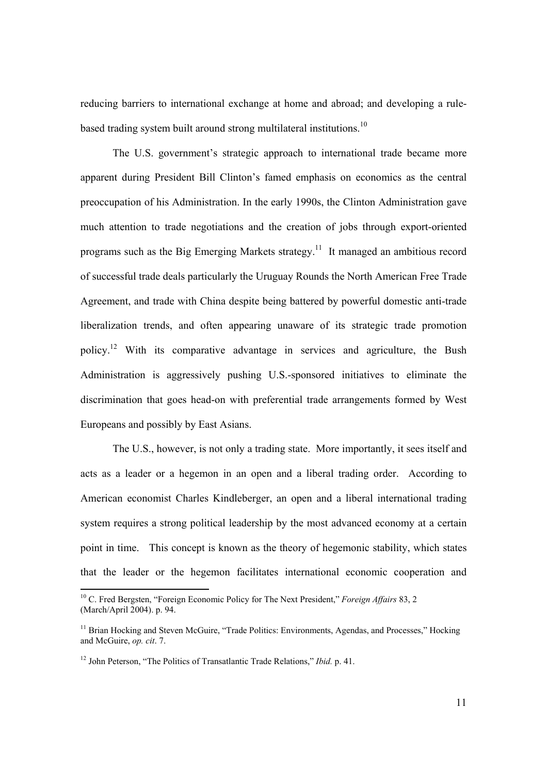reducing barriers to international exchange at home and abroad; and developing a rulebased trading system built around strong multilateral institutions.<sup>10</sup>

The U.S. government's strategic approach to international trade became more apparent during President Bill Clinton's famed emphasis on economics as the central preoccupation of his Administration. In the early 1990s, the Clinton Administration gave much attention to trade negotiations and the creation of jobs through export-oriented programs such as the Big Emerging Markets strategy.11 It managed an ambitious record of successful trade deals particularly the Uruguay Rounds the North American Free Trade Agreement, and trade with China despite being battered by powerful domestic anti-trade liberalization trends, and often appearing unaware of its strategic trade promotion policy.12 With its comparative advantage in services and agriculture, the Bush Administration is aggressively pushing U.S.-sponsored initiatives to eliminate the discrimination that goes head-on with preferential trade arrangements formed by West Europeans and possibly by East Asians.

The U.S., however, is not only a trading state. More importantly, it sees itself and acts as a leader or a hegemon in an open and a liberal trading order. According to American economist Charles Kindleberger, an open and a liberal international trading system requires a strong political leadership by the most advanced economy at a certain point in time. This concept is known as the theory of hegemonic stability, which states that the leader or the hegemon facilitates international economic cooperation and

<sup>10</sup> C. Fred Bergsten, "Foreign Economic Policy for The Next President," *Foreign Affairs* 83, 2 (March/April 2004). p. 94.

<sup>&</sup>lt;sup>11</sup> Brian Hocking and Steven McGuire, "Trade Politics: Environments, Agendas, and Processes," Hocking and McGuire, *op. cit*. 7.

<sup>12</sup> John Peterson, "The Politics of Transatlantic Trade Relations," *Ibid.* p. 41.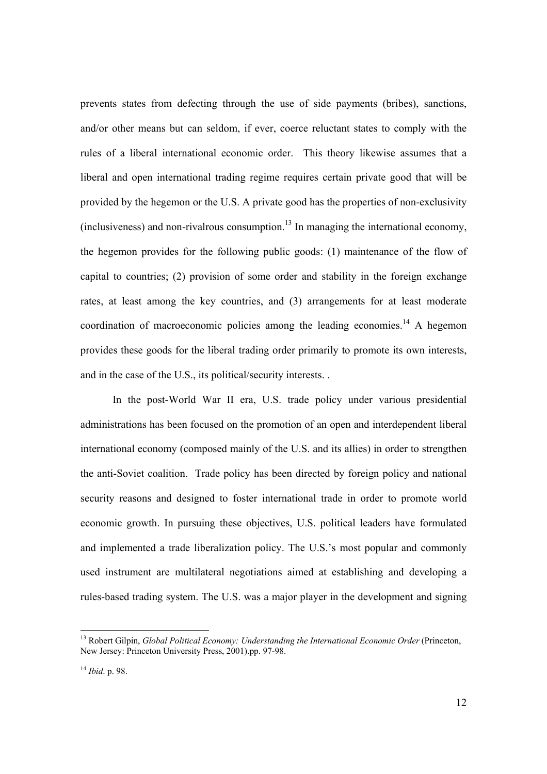prevents states from defecting through the use of side payments (bribes), sanctions, and/or other means but can seldom, if ever, coerce reluctant states to comply with the rules of a liberal international economic order. This theory likewise assumes that a liberal and open international trading regime requires certain private good that will be provided by the hegemon or the U.S. A private good has the properties of non-exclusivity  $(inclusiveness)$  and non-rivalrous consumption.<sup>13</sup> In managing the international economy, the hegemon provides for the following public goods: (1) maintenance of the flow of capital to countries; (2) provision of some order and stability in the foreign exchange rates, at least among the key countries, and (3) arrangements for at least moderate coordination of macroeconomic policies among the leading economies.<sup>14</sup> A hegemon provides these goods for the liberal trading order primarily to promote its own interests, and in the case of the U.S., its political/security interests. .

In the post-World War II era, U.S. trade policy under various presidential administrations has been focused on the promotion of an open and interdependent liberal international economy (composed mainly of the U.S. and its allies) in order to strengthen the anti-Soviet coalition. Trade policy has been directed by foreign policy and national security reasons and designed to foster international trade in order to promote world economic growth. In pursuing these objectives, U.S. political leaders have formulated and implemented a trade liberalization policy. The U.S.'s most popular and commonly used instrument are multilateral negotiations aimed at establishing and developing a rules-based trading system. The U.S. was a major player in the development and signing

<sup>&</sup>lt;sup>13</sup> Robert Gilpin, *Global Political Economy: Understanding the International Economic Order* (Princeton, New Jersey: Princeton University Press, 2001).pp. 97-98.

<sup>14</sup> *Ibid*. p. 98.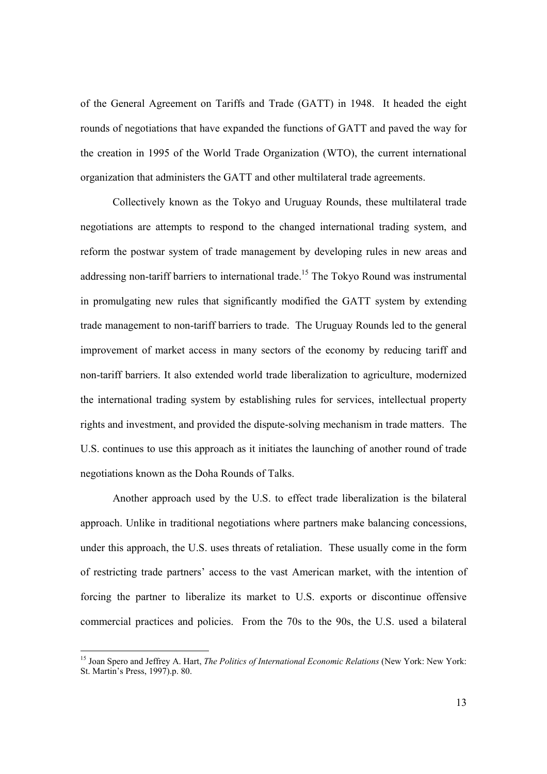of the General Agreement on Tariffs and Trade (GATT) in 1948. It headed the eight rounds of negotiations that have expanded the functions of GATT and paved the way for the creation in 1995 of the World Trade Organization (WTO), the current international organization that administers the GATT and other multilateral trade agreements.

Collectively known as the Tokyo and Uruguay Rounds, these multilateral trade negotiations are attempts to respond to the changed international trading system, and reform the postwar system of trade management by developing rules in new areas and addressing non-tariff barriers to international trade.<sup>15</sup> The Tokyo Round was instrumental in promulgating new rules that significantly modified the GATT system by extending trade management to non-tariff barriers to trade. The Uruguay Rounds led to the general improvement of market access in many sectors of the economy by reducing tariff and non-tariff barriers. It also extended world trade liberalization to agriculture, modernized the international trading system by establishing rules for services, intellectual property rights and investment, and provided the dispute-solving mechanism in trade matters. The U.S. continues to use this approach as it initiates the launching of another round of trade negotiations known as the Doha Rounds of Talks.

Another approach used by the U.S. to effect trade liberalization is the bilateral approach. Unlike in traditional negotiations where partners make balancing concessions, under this approach, the U.S. uses threats of retaliation. These usually come in the form of restricting trade partners' access to the vast American market, with the intention of forcing the partner to liberalize its market to U.S. exports or discontinue offensive commercial practices and policies. From the 70s to the 90s, the U.S. used a bilateral

<sup>15</sup> Joan Spero and Jeffrey A. Hart, *The Politics of International Economic Relations* (New York: New York: St. Martin's Press,  $1997$  p. 80.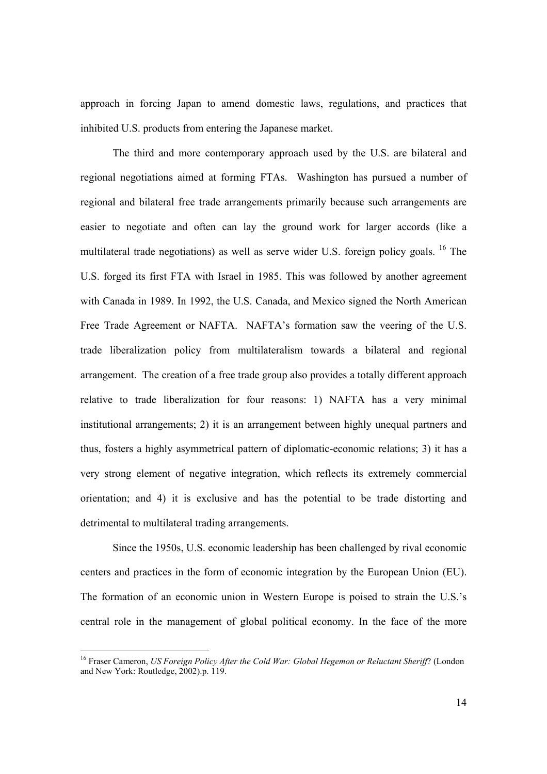approach in forcing Japan to amend domestic laws, regulations, and practices that inhibited U.S. products from entering the Japanese market.

The third and more contemporary approach used by the U.S. are bilateral and regional negotiations aimed at forming FTAs. Washington has pursued a number of regional and bilateral free trade arrangements primarily because such arrangements are easier to negotiate and often can lay the ground work for larger accords (like a multilateral trade negotiations) as well as serve wider U.S. foreign policy goals. <sup>16</sup> The U.S. forged its first FTA with Israel in 1985. This was followed by another agreement with Canada in 1989. In 1992, the U.S. Canada, and Mexico signed the North American Free Trade Agreement or NAFTA. NAFTA's formation saw the veering of the U.S. trade liberalization policy from multilateralism towards a bilateral and regional arrangement. The creation of a free trade group also provides a totally different approach relative to trade liberalization for four reasons: 1) NAFTA has a very minimal institutional arrangements; 2) it is an arrangement between highly unequal partners and thus, fosters a highly asymmetrical pattern of diplomatic-economic relations; 3) it has a very strong element of negative integration, which reflects its extremely commercial orientation; and 4) it is exclusive and has the potential to be trade distorting and detrimental to multilateral trading arrangements.

Since the 1950s, U.S. economic leadership has been challenged by rival economic centers and practices in the form of economic integration by the European Union (EU). The formation of an economic union in Western Europe is poised to strain the U.S.'s central role in the management of global political economy. In the face of the more

<sup>16</sup> Fraser Cameron, *US Foreign Policy After the Cold War: Global Hegemon or Reluctant Sheriff*? (London and New York: Routledge, 2002).p. 119.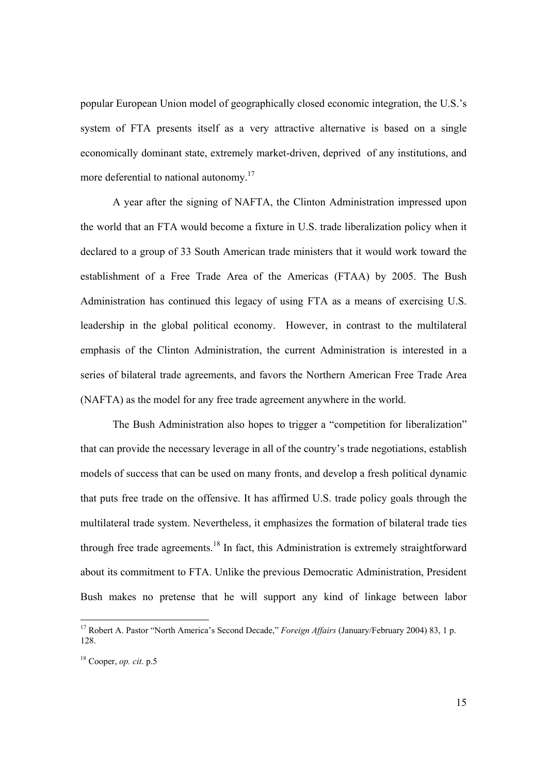popular European Union model of geographically closed economic integration, the U.S.'s system of FTA presents itself as a very attractive alternative is based on a single economically dominant state, extremely market-driven, deprived of any institutions, and more deferential to national autonomy.<sup>17</sup>

A year after the signing of NAFTA, the Clinton Administration impressed upon the world that an FTA would become a fixture in U.S. trade liberalization policy when it declared to a group of 33 South American trade ministers that it would work toward the establishment of a Free Trade Area of the Americas (FTAA) by 2005. The Bush Administration has continued this legacy of using FTA as a means of exercising U.S. leadership in the global political economy. However, in contrast to the multilateral emphasis of the Clinton Administration, the current Administration is interested in a series of bilateral trade agreements, and favors the Northern American Free Trade Area (NAFTA) as the model for any free trade agreement anywhere in the world.

The Bush Administration also hopes to trigger a "competition for liberalization" that can provide the necessary leverage in all of the country's trade negotiations, establish models of success that can be used on many fronts, and develop a fresh political dynamic that puts free trade on the offensive. It has affirmed U.S. trade policy goals through the multilateral trade system. Nevertheless, it emphasizes the formation of bilateral trade ties through free trade agreements.<sup>18</sup> In fact, this Administration is extremely straightforward about its commitment to FTA. Unlike the previous Democratic Administration, President Bush makes no pretense that he will support any kind of linkage between labor

<sup>&</sup>lt;sup>17</sup> Robert A. Pastor "North America's Second Decade," *Foreign Affairs* (January/February 2004) 83, 1 p. 128.

<sup>18</sup> Cooper, *op. cit*. p.5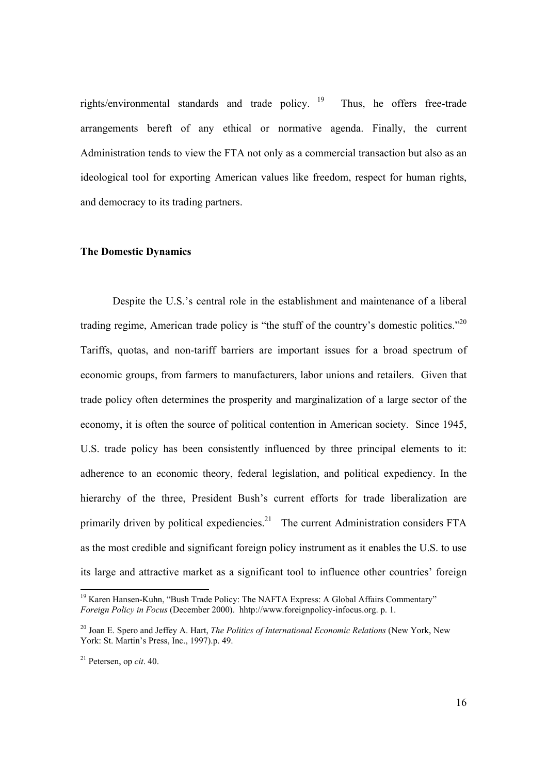rights/environmental standards and trade policy.  $19$  Thus, he offers free-trade arrangements bereft of any ethical or normative agenda. Finally, the current Administration tends to view the FTA not only as a commercial transaction but also as an ideological tool for exporting American values like freedom, respect for human rights, and democracy to its trading partners.

#### **The Domestic Dynamics**

Despite the U.S.'s central role in the establishment and maintenance of a liberal trading regime, American trade policy is "the stuff of the country's domestic politics."20 Tariffs, quotas, and non-tariff barriers are important issues for a broad spectrum of economic groups, from farmers to manufacturers, labor unions and retailers. Given that trade policy often determines the prosperity and marginalization of a large sector of the economy, it is often the source of political contention in American society. Since 1945, U.S. trade policy has been consistently influenced by three principal elements to it: adherence to an economic theory, federal legislation, and political expediency. In the hierarchy of the three, President Bush's current efforts for trade liberalization are primarily driven by political expediencies.<sup>21</sup> The current Administration considers FTA as the most credible and significant foreign policy instrument as it enables the U.S. to use its large and attractive market as a significant tool to influence other countries' foreign

<sup>&</sup>lt;sup>19</sup> Karen Hansen-Kuhn, "Bush Trade Policy: The NAFTA Express: A Global Affairs Commentary" *Foreign Policy in Focus* (December 2000). hhtp://www.foreignpolicy-infocus.org. p. 1.

<sup>20</sup> Joan E. Spero and Jeffey A. Hart, *The Politics of International Economic Relations* (New York, New York: St. Martin's Press, Inc., 1997).p. 49.

<sup>21</sup> Petersen, op *cit*. 40.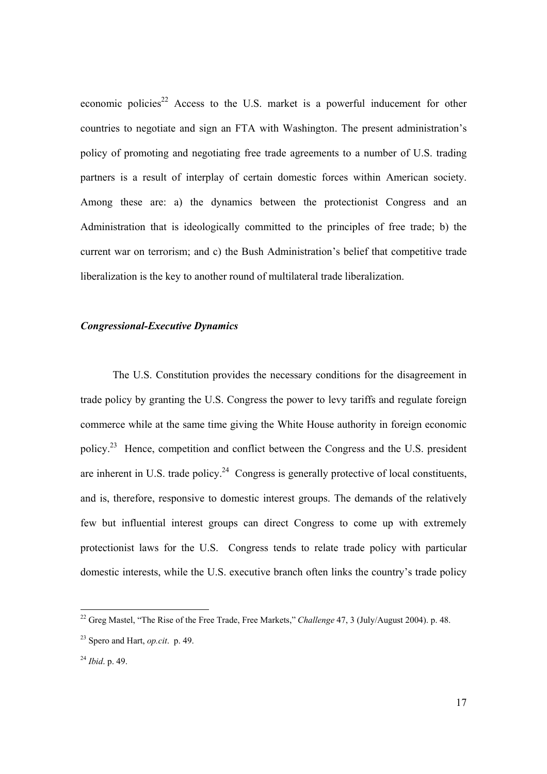economic policies<sup>22</sup> Access to the U.S. market is a powerful inducement for other countries to negotiate and sign an FTA with Washington. The present administration's policy of promoting and negotiating free trade agreements to a number of U.S. trading partners is a result of interplay of certain domestic forces within American society. Among these are: a) the dynamics between the protectionist Congress and an Administration that is ideologically committed to the principles of free trade; b) the current war on terrorism; and c) the Bush Administration's belief that competitive trade liberalization is the key to another round of multilateral trade liberalization.

#### *Congressional-Executive Dynamics*

 The U.S. Constitution provides the necessary conditions for the disagreement in trade policy by granting the U.S. Congress the power to levy tariffs and regulate foreign commerce while at the same time giving the White House authority in foreign economic policy.23 Hence, competition and conflict between the Congress and the U.S. president are inherent in U.S. trade policy.<sup>24</sup> Congress is generally protective of local constituents, and is, therefore, responsive to domestic interest groups. The demands of the relatively few but influential interest groups can direct Congress to come up with extremely protectionist laws for the U.S. Congress tends to relate trade policy with particular domestic interests, while the U.S. executive branch often links the country's trade policy

<sup>22</sup> Greg Mastel, "The Rise of the Free Trade, Free Markets," *Challenge* 47, 3 (July/August 2004). p. 48.

<sup>23</sup> Spero and Hart, *op.cit*. p. 49.

<sup>24</sup> *Ibid*. p. 49.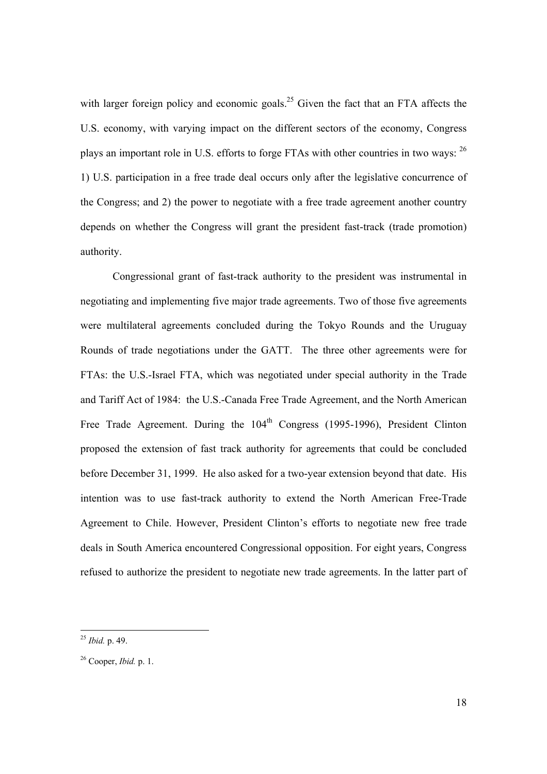with larger foreign policy and economic goals.<sup>25</sup> Given the fact that an FTA affects the U.S. economy, with varying impact on the different sectors of the economy, Congress plays an important role in U.S. efforts to forge FTAs with other countries in two ways: <sup>26</sup> 1) U.S. participation in a free trade deal occurs only after the legislative concurrence of the Congress; and 2) the power to negotiate with a free trade agreement another country depends on whether the Congress will grant the president fast-track (trade promotion) authority.

Congressional grant of fast-track authority to the president was instrumental in negotiating and implementing five major trade agreements. Two of those five agreements were multilateral agreements concluded during the Tokyo Rounds and the Uruguay Rounds of trade negotiations under the GATT. The three other agreements were for FTAs: the U.S.-Israel FTA, which was negotiated under special authority in the Trade and Tariff Act of 1984: the U.S.-Canada Free Trade Agreement, and the North American Free Trade Agreement. During the 104<sup>th</sup> Congress (1995-1996), President Clinton proposed the extension of fast track authority for agreements that could be concluded before December 31, 1999. He also asked for a two-year extension beyond that date. His intention was to use fast-track authority to extend the North American Free-Trade Agreement to Chile. However, President Clinton's efforts to negotiate new free trade deals in South America encountered Congressional opposition. For eight years, Congress refused to authorize the president to negotiate new trade agreements. In the latter part of

<sup>25</sup> *Ibid.* p. 49.

<sup>26</sup> Cooper, *Ibid.* p. 1.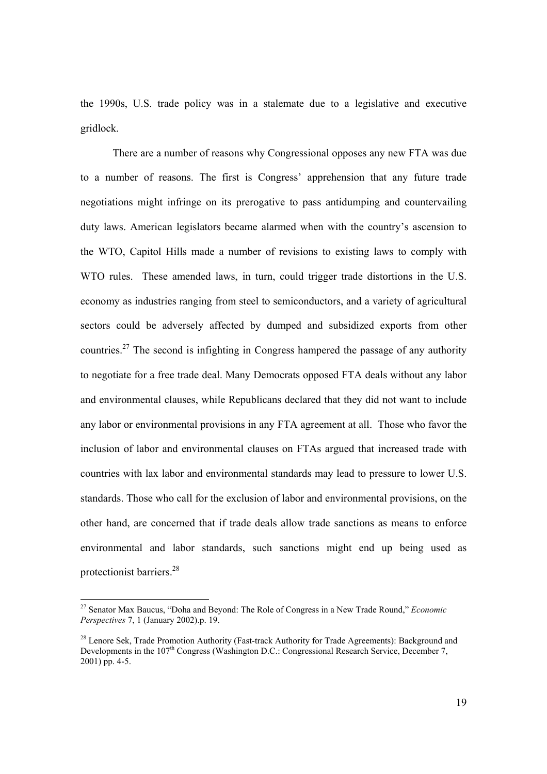the 1990s, U.S. trade policy was in a stalemate due to a legislative and executive gridlock.

There are a number of reasons why Congressional opposes any new FTA was due to a number of reasons. The first is Congress' apprehension that any future trade negotiations might infringe on its prerogative to pass antidumping and countervailing duty laws. American legislators became alarmed when with the country's ascension to the WTO, Capitol Hills made a number of revisions to existing laws to comply with WTO rules. These amended laws, in turn, could trigger trade distortions in the U.S. economy as industries ranging from steel to semiconductors, and a variety of agricultural sectors could be adversely affected by dumped and subsidized exports from other countries.<sup>27</sup> The second is infighting in Congress hampered the passage of any authority to negotiate for a free trade deal. Many Democrats opposed FTA deals without any labor and environmental clauses, while Republicans declared that they did not want to include any labor or environmental provisions in any FTA agreement at all. Those who favor the inclusion of labor and environmental clauses on FTAs argued that increased trade with countries with lax labor and environmental standards may lead to pressure to lower U.S. standards. Those who call for the exclusion of labor and environmental provisions, on the other hand, are concerned that if trade deals allow trade sanctions as means to enforce environmental and labor standards, such sanctions might end up being used as protectionist barriers.<sup>28</sup>

l

<sup>27</sup> Senator Max Baucus, "Doha and Beyond: The Role of Congress in a New Trade Round," *Economic Perspectives* 7, 1 (January 2002).p. 19.

<sup>&</sup>lt;sup>28</sup> Lenore Sek, Trade Promotion Authority (Fast-track Authority for Trade Agreements): Background and Developments in the 107<sup>th</sup> Congress (Washington D.C.: Congressional Research Service, December 7, 2001) pp. 4-5.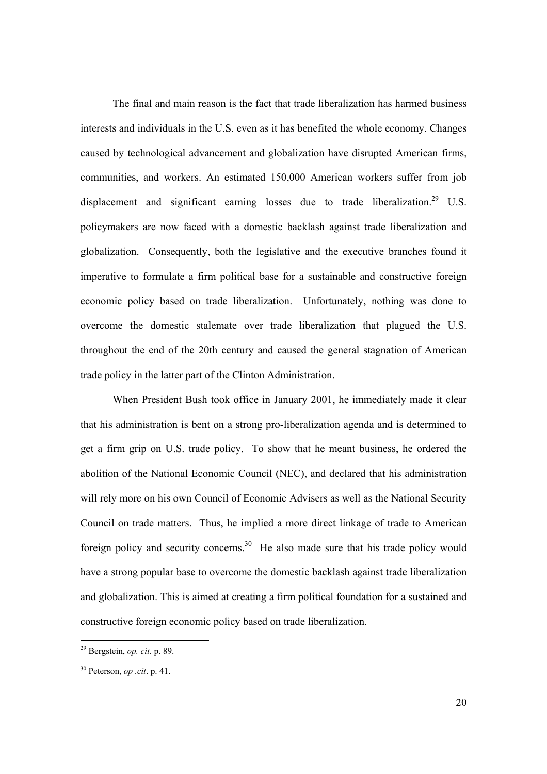The final and main reason is the fact that trade liberalization has harmed business interests and individuals in the U.S. even as it has benefited the whole economy. Changes caused by technological advancement and globalization have disrupted American firms, communities, and workers. An estimated 150,000 American workers suffer from job displacement and significant earning losses due to trade liberalization.<sup>29</sup> U.S. policymakers are now faced with a domestic backlash against trade liberalization and globalization. Consequently, both the legislative and the executive branches found it imperative to formulate a firm political base for a sustainable and constructive foreign economic policy based on trade liberalization. Unfortunately, nothing was done to overcome the domestic stalemate over trade liberalization that plagued the U.S. throughout the end of the 20th century and caused the general stagnation of American trade policy in the latter part of the Clinton Administration.

When President Bush took office in January 2001, he immediately made it clear that his administration is bent on a strong pro-liberalization agenda and is determined to get a firm grip on U.S. trade policy. To show that he meant business, he ordered the abolition of the National Economic Council (NEC), and declared that his administration will rely more on his own Council of Economic Advisers as well as the National Security Council on trade matters. Thus, he implied a more direct linkage of trade to American foreign policy and security concerns.<sup>30</sup> He also made sure that his trade policy would have a strong popular base to overcome the domestic backlash against trade liberalization and globalization. This is aimed at creating a firm political foundation for a sustained and constructive foreign economic policy based on trade liberalization.

<sup>29</sup> Bergstein, *op. cit*. p. 89.

<sup>30</sup> Peterson, *op .cit*. p. 41.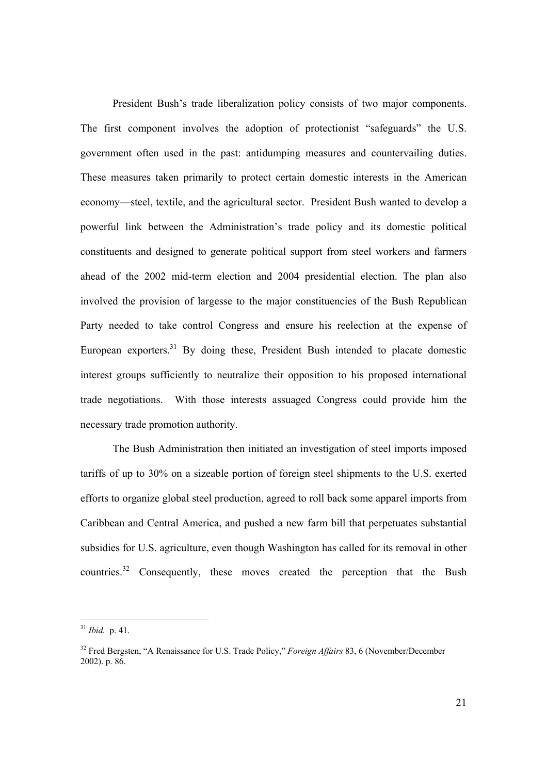President Bush's trade liberalization policy consists of two major components. The first component involves the adoption of protectionist "safeguards" the U.S. government often used in the past: antidumping measures and countervailing duties. These measures taken primarily to protect certain domestic interests in the American economy—steel, textile, and the agricultural sector. President Bush wanted to develop a powerful link between the Administration's trade policy and its domestic political constituents and designed to generate political support from steel workers and farmers ahead of the 2002 mid-term election and 2004 presidential election. The plan also involved the provision of largesse to the major constituencies of the Bush Republican Party needed to take control Congress and ensure his reelection at the expense of European exporters.<sup>31</sup> By doing these, President Bush intended to placate domestic interest groups sufficiently to neutralize their opposition to his proposed international trade negotiations. With those interests assuaged Congress could provide him the necessary trade promotion authority.

The Bush Administration then initiated an investigation of steel imports imposed tariffs of up to 30% on a sizeable portion of foreign steel shipments to the U.S. exerted efforts to organize global steel production, agreed to roll back some apparel imports from Caribbean and Central America, and pushed a new farm bill that perpetuates substantial subsidies for U.S. agriculture, even though Washington has called for its removal in other countries.<sup>32</sup> Consequently, these moves created the perception that the Bush

<sup>31</sup> *Ibid.* p. 41.

<sup>32</sup> Fred Bergsten, "A Renaissance for U.S. Trade Policy," *Foreign Affairs* 83, 6 (November/December 2002). p. 86.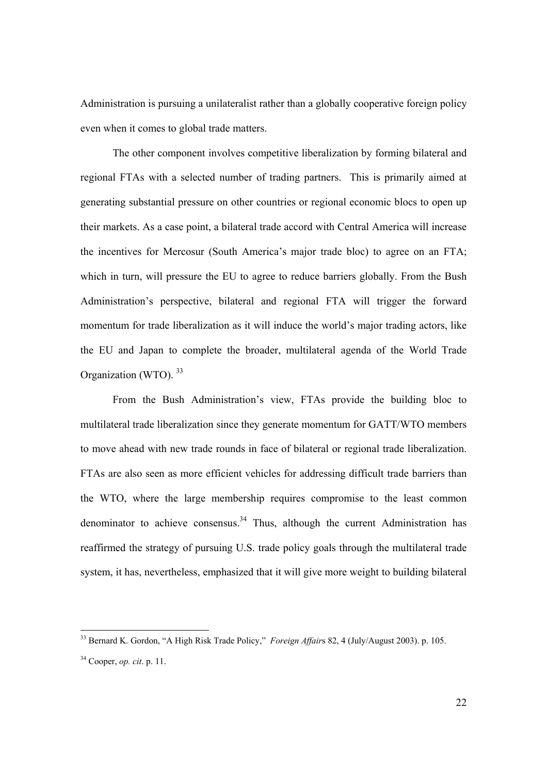Administration is pursuing a unilateralist rather than a globally cooperative foreign policy even when it comes to global trade matters.

The other component involves competitive liberalization by forming bilateral and regional FTAs with a selected number of trading partners. This is primarily aimed at generating substantial pressure on other countries or regional economic blocs to open up their markets. As a case point, a bilateral trade accord with Central America will increase the incentives for Mercosur (South America's major trade bloc) to agree on an FTA; which in turn, will pressure the EU to agree to reduce barriers globally. From the Bush Administration's perspective, bilateral and regional FTA will trigger the forward momentum for trade liberalization as it will induce the world's major trading actors, like the EU and Japan to complete the broader, multilateral agenda of the World Trade Organization (WTO). 33

From the Bush Administration's view, FTAs provide the building bloc to multilateral trade liberalization since they generate momentum for GATT/WTO members to move ahead with new trade rounds in face of bilateral or regional trade liberalization. FTAs are also seen as more efficient vehicles for addressing difficult trade barriers than the WTO, where the large membership requires compromise to the least common denominator to achieve consensus.<sup>34</sup> Thus, although the current Administration has reaffirmed the strategy of pursuing U.S. trade policy goals through the multilateral trade system, it has, nevertheless, emphasized that it will give more weight to building bilateral

<sup>33</sup> Bernard K. Gordon, "A High Risk Trade Policy," *Foreign Affair*s 82, 4 (July/August 2003). p. 105.

<sup>34</sup> Cooper, *op. cit*. p. 11.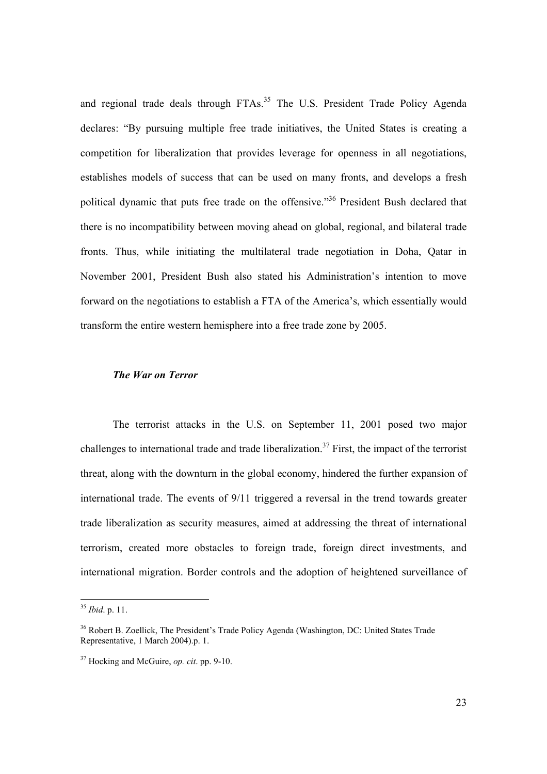and regional trade deals through FTAs.<sup>35</sup> The U.S. President Trade Policy Agenda declares: "By pursuing multiple free trade initiatives, the United States is creating a competition for liberalization that provides leverage for openness in all negotiations, establishes models of success that can be used on many fronts, and develops a fresh political dynamic that puts free trade on the offensive."36 President Bush declared that there is no incompatibility between moving ahead on global, regional, and bilateral trade fronts. Thus, while initiating the multilateral trade negotiation in Doha, Qatar in November 2001, President Bush also stated his Administration's intention to move forward on the negotiations to establish a FTA of the America's, which essentially would transform the entire western hemisphere into a free trade zone by 2005.

#### *The War on Terror*

 The terrorist attacks in the U.S. on September 11, 2001 posed two major challenges to international trade and trade liberalization.<sup>37</sup> First, the impact of the terrorist threat, along with the downturn in the global economy, hindered the further expansion of international trade. The events of 9/11 triggered a reversal in the trend towards greater trade liberalization as security measures, aimed at addressing the threat of international terrorism, created more obstacles to foreign trade, foreign direct investments, and international migration. Border controls and the adoption of heightened surveillance of

l

<sup>35</sup> *Ibid*. p. 11.

<sup>&</sup>lt;sup>36</sup> Robert B. Zoellick, The President's Trade Policy Agenda (Washington, DC: United States Trade Representative, 1 March 2004).p. 1.

<sup>37</sup> Hocking and McGuire, *op. cit*. pp. 9-10.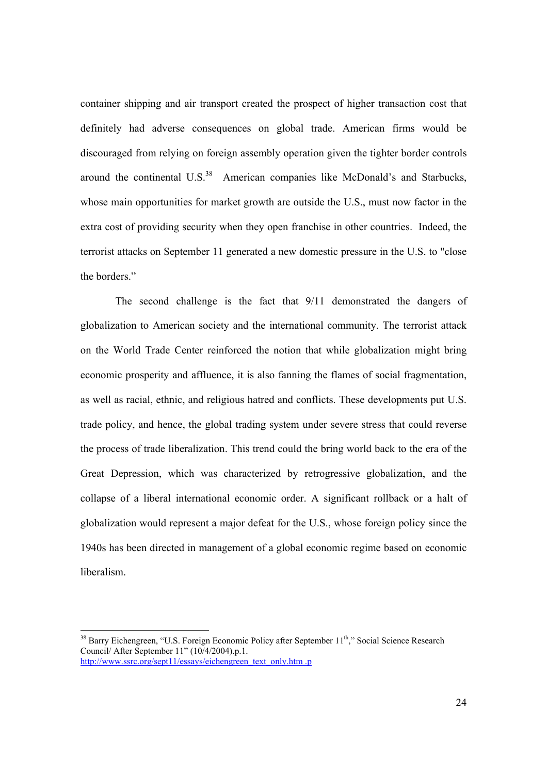container shipping and air transport created the prospect of higher transaction cost that definitely had adverse consequences on global trade. American firms would be discouraged from relying on foreign assembly operation given the tighter border controls around the continental  $U.S.<sup>38</sup>$  American companies like McDonald's and Starbucks, whose main opportunities for market growth are outside the U.S., must now factor in the extra cost of providing security when they open franchise in other countries. Indeed, the terrorist attacks on September 11 generated a new domestic pressure in the U.S. to "close the borders."

 The second challenge is the fact that 9/11 demonstrated the dangers of globalization to American society and the international community. The terrorist attack on the World Trade Center reinforced the notion that while globalization might bring economic prosperity and affluence, it is also fanning the flames of social fragmentation, as well as racial, ethnic, and religious hatred and conflicts. These developments put U.S. trade policy, and hence, the global trading system under severe stress that could reverse the process of trade liberalization. This trend could the bring world back to the era of the Great Depression, which was characterized by retrogressive globalization, and the collapse of a liberal international economic order. A significant rollback or a halt of globalization would represent a major defeat for the U.S., whose foreign policy since the 1940s has been directed in management of a global economic regime based on economic liberalism.

<sup>&</sup>lt;sup>38</sup> Barry Eichengreen, "U.S. Foreign Economic Policy after September 11<sup>th</sup>," Social Science Research Council/ After September 11" (10/4/2004).p.1. http://www.ssrc.org/sept11/essays/eichengreen\_text\_only.htm .p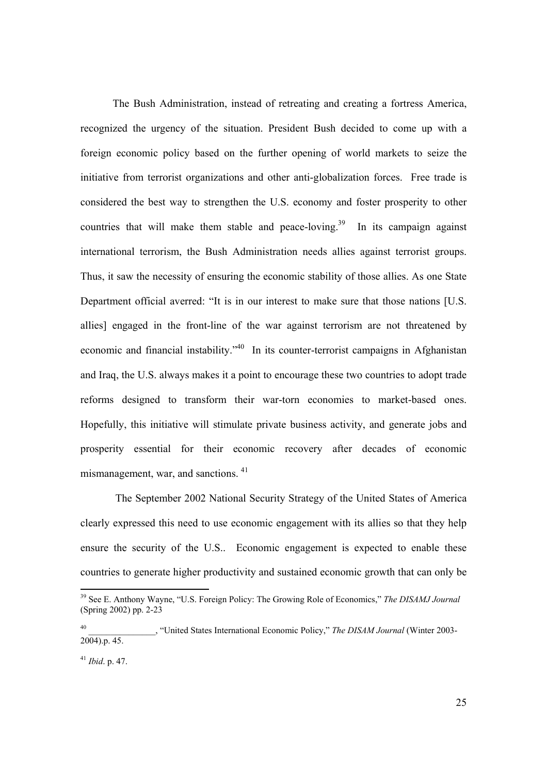The Bush Administration, instead of retreating and creating a fortress America, recognized the urgency of the situation. President Bush decided to come up with a foreign economic policy based on the further opening of world markets to seize the initiative from terrorist organizations and other anti-globalization forces. Free trade is considered the best way to strengthen the U.S. economy and foster prosperity to other countries that will make them stable and peace-loving.<sup>39</sup> In its campaign against international terrorism, the Bush Administration needs allies against terrorist groups. Thus, it saw the necessity of ensuring the economic stability of those allies. As one State Department official averred: "It is in our interest to make sure that those nations [U.S. allies] engaged in the front-line of the war against terrorism are not threatened by economic and financial instability."<sup>40</sup> In its counter-terrorist campaigns in Afghanistan and Iraq, the U.S. always makes it a point to encourage these two countries to adopt trade reforms designed to transform their war-torn economies to market-based ones. Hopefully, this initiative will stimulate private business activity, and generate jobs and prosperity essential for their economic recovery after decades of economic mismanagement, war, and sanctions. 41

 The September 2002 National Security Strategy of the United States of America clearly expressed this need to use economic engagement with its allies so that they help ensure the security of the U.S.. Economic engagement is expected to enable these countries to generate higher productivity and sustained economic growth that can only be

<sup>39</sup> See E. Anthony Wayne, "U.S. Foreign Policy: The Growing Role of Economics," *The DISAMJ Journal* (Spring 2002) pp. 2-23

<sup>40</sup> \_\_\_\_\_\_\_\_\_\_\_\_\_\_\_, "United States International Economic Policy," *The DISAM Journal* (Winter 2003-  $2004$ , p. 45.

<sup>41</sup> *Ibid*. p. 47.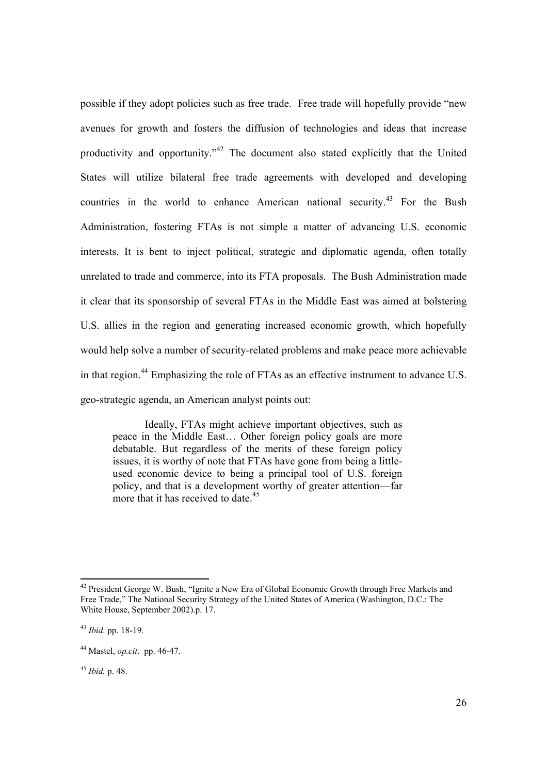possible if they adopt policies such as free trade. Free trade will hopefully provide "new avenues for growth and fosters the diffusion of technologies and ideas that increase productivity and opportunity."42 The document also stated explicitly that the United States will utilize bilateral free trade agreements with developed and developing countries in the world to enhance American national security.<sup>43</sup> For the Bush Administration, fostering FTAs is not simple a matter of advancing U.S. economic interests. It is bent to inject political, strategic and diplomatic agenda, often totally unrelated to trade and commerce, into its FTA proposals. The Bush Administration made it clear that its sponsorship of several FTAs in the Middle East was aimed at bolstering U.S. allies in the region and generating increased economic growth, which hopefully would help solve a number of security-related problems and make peace more achievable in that region.44 Emphasizing the role of FTAs as an effective instrument to advance U.S. geo-strategic agenda, an American analyst points out:

Ideally, FTAs might achieve important objectives, such as peace in the Middle East… Other foreign policy goals are more debatable. But regardless of the merits of these foreign policy issues, it is worthy of note that FTAs have gone from being a littleused economic device to being a principal tool of U.S. foreign policy, and that is a development worthy of greater attention—far more that it has received to date.<sup>45</sup>

<sup>&</sup>lt;sup>42</sup> President George W. Bush, "Ignite a New Era of Global Economic Growth through Free Markets and Free Trade," The National Security Strategy of the United States of America (Washington, D.C.: The White House, September 2002).p. 17.

<sup>43</sup> *Ibid*. pp. 18-19.

<sup>44</sup> Mastel, *op.cit*. pp. 46-47.

<sup>45</sup> *Ibid.* p. 48.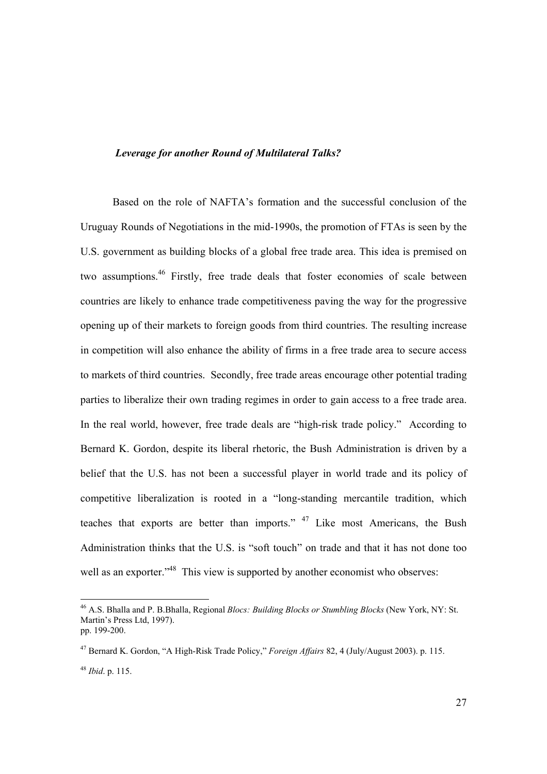#### *Leverage for another Round of Multilateral Talks?*

Based on the role of NAFTA's formation and the successful conclusion of the Uruguay Rounds of Negotiations in the mid-1990s, the promotion of FTAs is seen by the U.S. government as building blocks of a global free trade area. This idea is premised on two assumptions.46 Firstly, free trade deals that foster economies of scale between countries are likely to enhance trade competitiveness paving the way for the progressive opening up of their markets to foreign goods from third countries. The resulting increase in competition will also enhance the ability of firms in a free trade area to secure access to markets of third countries. Secondly, free trade areas encourage other potential trading parties to liberalize their own trading regimes in order to gain access to a free trade area. In the real world, however, free trade deals are "high-risk trade policy." According to Bernard K. Gordon, despite its liberal rhetoric, the Bush Administration is driven by a belief that the U.S. has not been a successful player in world trade and its policy of competitive liberalization is rooted in a "long-standing mercantile tradition, which teaches that exports are better than imports."  $47$  Like most Americans, the Bush Administration thinks that the U.S. is "soft touch" on trade and that it has not done too well as an exporter."<sup>48</sup> This view is supported by another economist who observes:

l

<sup>46</sup> A.S. Bhalla and P. B.Bhalla, Regional *Blocs: Building Blocks or Stumbling Blocks* (New York, NY: St. Martin's Press Ltd, 1997). pp. 199-200.

<sup>47</sup> Bernard K. Gordon, "A High-Risk Trade Policy," *Foreign Affairs* 82, 4 (July/August 2003). p. 115.

<sup>48</sup> *Ibid*. p. 115.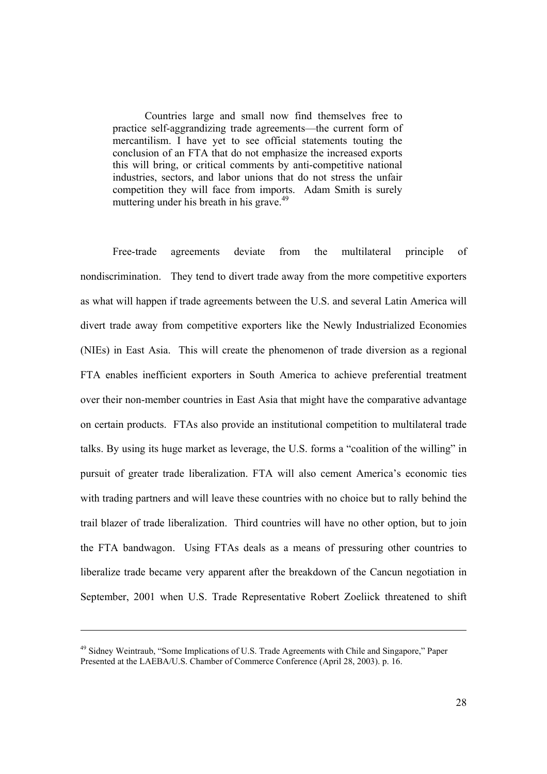Countries large and small now find themselves free to practice self-aggrandizing trade agreements—the current form of mercantilism. I have yet to see official statements touting the conclusion of an FTA that do not emphasize the increased exports this will bring, or critical comments by anti-competitive national industries, sectors, and labor unions that do not stress the unfair competition they will face from imports. Adam Smith is surely muttering under his breath in his grave.<sup>49</sup>

Free-trade agreements deviate from the multilateral principle of nondiscrimination. They tend to divert trade away from the more competitive exporters as what will happen if trade agreements between the U.S. and several Latin America will divert trade away from competitive exporters like the Newly Industrialized Economies (NIEs) in East Asia. This will create the phenomenon of trade diversion as a regional FTA enables inefficient exporters in South America to achieve preferential treatment over their non-member countries in East Asia that might have the comparative advantage on certain products. FTAs also provide an institutional competition to multilateral trade talks. By using its huge market as leverage, the U.S. forms a "coalition of the willing" in pursuit of greater trade liberalization. FTA will also cement America's economic ties with trading partners and will leave these countries with no choice but to rally behind the trail blazer of trade liberalization. Third countries will have no other option, but to join the FTA bandwagon. Using FTAs deals as a means of pressuring other countries to liberalize trade became very apparent after the breakdown of the Cancun negotiation in September, 2001 when U.S. Trade Representative Robert Zoeliick threatened to shift

<sup>49</sup> Sidney Weintraub, "Some Implications of U.S. Trade Agreements with Chile and Singapore," Paper Presented at the LAEBA/U.S. Chamber of Commerce Conference (April 28, 2003). p. 16.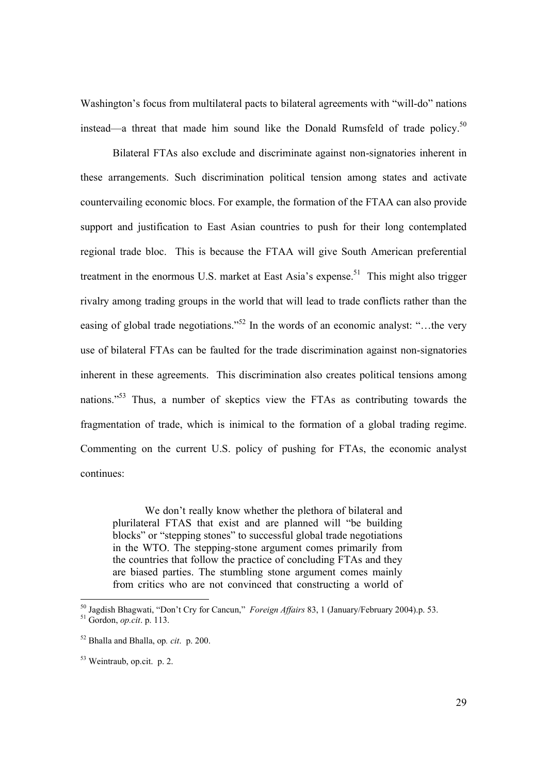Washington's focus from multilateral pacts to bilateral agreements with "will-do" nations instead—a threat that made him sound like the Donald Rumsfeld of trade policy.<sup>50</sup>

 Bilateral FTAs also exclude and discriminate against non-signatories inherent in these arrangements. Such discrimination political tension among states and activate countervailing economic blocs. For example, the formation of the FTAA can also provide support and justification to East Asian countries to push for their long contemplated regional trade bloc. This is because the FTAA will give South American preferential treatment in the enormous U.S. market at East Asia's expense.<sup>51</sup> This might also trigger rivalry among trading groups in the world that will lead to trade conflicts rather than the easing of global trade negotiations."<sup>52</sup> In the words of an economic analyst: "...the very use of bilateral FTAs can be faulted for the trade discrimination against non-signatories inherent in these agreements. This discrimination also creates political tensions among nations."<sup>53</sup> Thus, a number of skeptics view the FTAs as contributing towards the fragmentation of trade, which is inimical to the formation of a global trading regime. Commenting on the current U.S. policy of pushing for FTAs, the economic analyst continues:

We don't really know whether the plethora of bilateral and plurilateral FTAS that exist and are planned will "be building blocks" or "stepping stones" to successful global trade negotiations in the WTO. The stepping-stone argument comes primarily from the countries that follow the practice of concluding FTAs and they are biased parties. The stumbling stone argument comes mainly from critics who are not convinced that constructing a world of

l

<sup>50</sup> Jagdish Bhagwati, "Don't Cry for Cancun," *Foreign Affairs* 83, 1 (January/February 2004).p. 53. 51 Gordon, *op.cit*. p. 113.

<sup>52</sup> Bhalla and Bhalla, op*. cit*. p. 200.

<sup>53</sup> Weintraub, op.cit. p. 2.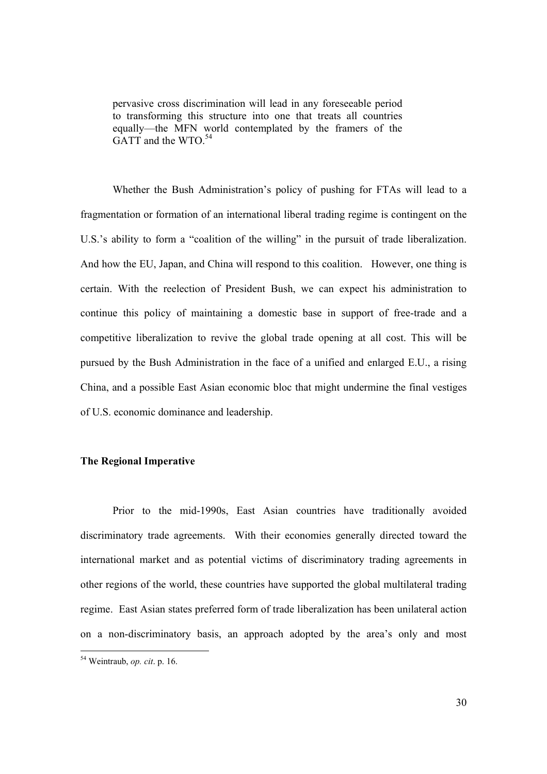pervasive cross discrimination will lead in any foreseeable period to transforming this structure into one that treats all countries equally—the MFN world contemplated by the framers of the GATT and the WTO.<sup>54</sup>

Whether the Bush Administration's policy of pushing for FTAs will lead to a fragmentation or formation of an international liberal trading regime is contingent on the U.S.'s ability to form a "coalition of the willing" in the pursuit of trade liberalization. And how the EU, Japan, and China will respond to this coalition. However, one thing is certain. With the reelection of President Bush, we can expect his administration to continue this policy of maintaining a domestic base in support of free-trade and a competitive liberalization to revive the global trade opening at all cost. This will be pursued by the Bush Administration in the face of a unified and enlarged E.U., a rising China, and a possible East Asian economic bloc that might undermine the final vestiges of U.S. economic dominance and leadership.

#### **The Regional Imperative**

Prior to the mid-1990s, East Asian countries have traditionally avoided discriminatory trade agreements. With their economies generally directed toward the international market and as potential victims of discriminatory trading agreements in other regions of the world, these countries have supported the global multilateral trading regime. East Asian states preferred form of trade liberalization has been unilateral action on a non-discriminatory basis, an approach adopted by the area's only and most

<sup>54</sup> Weintraub, *op. cit*. p. 16.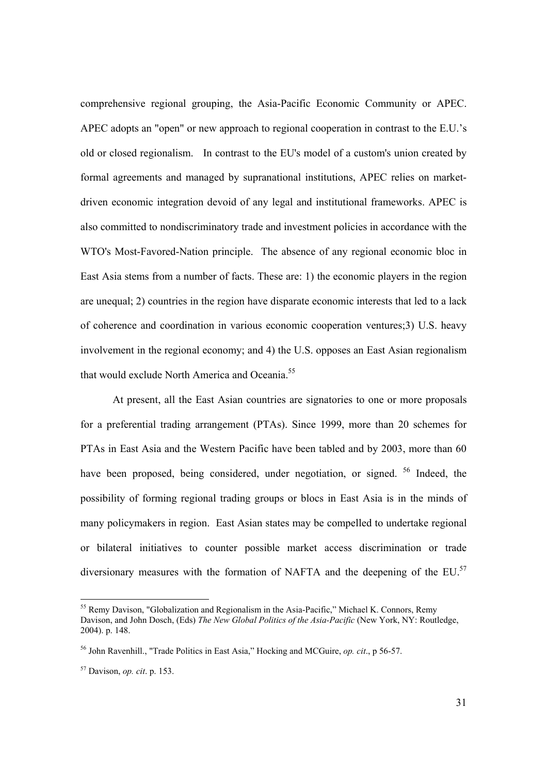comprehensive regional grouping, the Asia-Pacific Economic Community or APEC. APEC adopts an "open" or new approach to regional cooperation in contrast to the E.U.'s old or closed regionalism. In contrast to the EU's model of a custom's union created by formal agreements and managed by supranational institutions, APEC relies on marketdriven economic integration devoid of any legal and institutional frameworks. APEC is also committed to nondiscriminatory trade and investment policies in accordance with the WTO's Most-Favored-Nation principle. The absence of any regional economic bloc in East Asia stems from a number of facts. These are: 1) the economic players in the region are unequal; 2) countries in the region have disparate economic interests that led to a lack of coherence and coordination in various economic cooperation ventures;3) U.S. heavy involvement in the regional economy; and 4) the U.S. opposes an East Asian regionalism that would exclude North America and Oceania.<sup>55</sup>

At present, all the East Asian countries are signatories to one or more proposals for a preferential trading arrangement (PTAs). Since 1999, more than 20 schemes for PTAs in East Asia and the Western Pacific have been tabled and by 2003, more than 60 have been proposed, being considered, under negotiation, or signed. <sup>56</sup> Indeed, the possibility of forming regional trading groups or blocs in East Asia is in the minds of many policymakers in region. East Asian states may be compelled to undertake regional or bilateral initiatives to counter possible market access discrimination or trade diversionary measures with the formation of NAFTA and the deepening of the EU.<sup>57</sup>

l

<sup>&</sup>lt;sup>55</sup> Remy Davison, "Globalization and Regionalism in the Asia-Pacific," Michael K. Connors, Remy Davison, and John Dosch, (Eds) *The New Global Politics of the Asia-Pacific* (New York, NY: Routledge, 2004). p. 148.

<sup>56</sup> John Ravenhill., "Trade Politics in East Asia," Hocking and MCGuire, *op. cit*., p 56-57.

<sup>57</sup> Davison, *op. cit*. p. 153.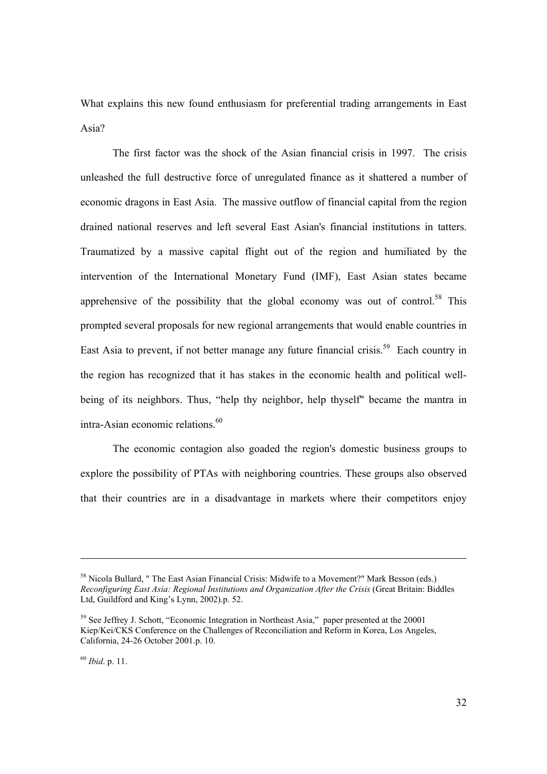What explains this new found enthusiasm for preferential trading arrangements in East Asia?

The first factor was the shock of the Asian financial crisis in 1997. The crisis unleashed the full destructive force of unregulated finance as it shattered a number of economic dragons in East Asia. The massive outflow of financial capital from the region drained national reserves and left several East Asian's financial institutions in tatters. Traumatized by a massive capital flight out of the region and humiliated by the intervention of the International Monetary Fund (IMF), East Asian states became apprehensive of the possibility that the global economy was out of control.<sup>58</sup> This prompted several proposals for new regional arrangements that would enable countries in East Asia to prevent, if not better manage any future financial crisis.<sup>59</sup> Each country in the region has recognized that it has stakes in the economic health and political wellbeing of its neighbors. Thus, "help thy neighbor, help thyself" became the mantra in intra-Asian economic relations.<sup>60</sup>

The economic contagion also goaded the region's domestic business groups to explore the possibility of PTAs with neighboring countries. These groups also observed that their countries are in a disadvantage in markets where their competitors enjoy

<sup>58</sup> Nicola Bullard, " The East Asian Financial Crisis: Midwife to a Movement?" Mark Besson (eds.) *Reconfiguring East Asia: Regional Institutions and Organization After the Crisis* (Great Britain: Biddles Ltd, Guildford and King's Lynn, 2002).p. 52.

<sup>&</sup>lt;sup>59</sup> See Jeffrey J. Schott, "Economic Integration in Northeast Asia," paper presented at the 20001 Kiep/Kei/CKS Conference on the Challenges of Reconciliation and Reform in Korea, Los Angeles, California, 24-26 October 2001.p. 10.

<sup>60</sup> *Ibid*. p. 11.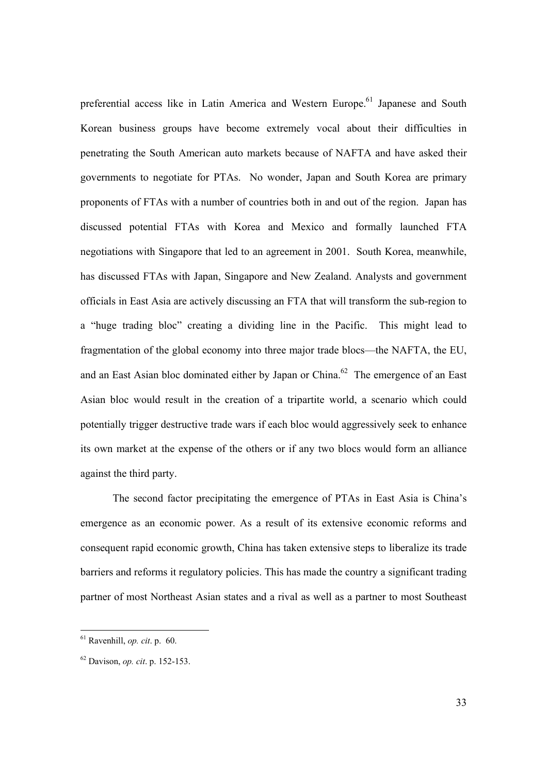preferential access like in Latin America and Western Europe.<sup>61</sup> Japanese and South Korean business groups have become extremely vocal about their difficulties in penetrating the South American auto markets because of NAFTA and have asked their governments to negotiate for PTAs. No wonder, Japan and South Korea are primary proponents of FTAs with a number of countries both in and out of the region. Japan has discussed potential FTAs with Korea and Mexico and formally launched FTA negotiations with Singapore that led to an agreement in 2001. South Korea, meanwhile, has discussed FTAs with Japan, Singapore and New Zealand. Analysts and government officials in East Asia are actively discussing an FTA that will transform the sub-region to a "huge trading bloc" creating a dividing line in the Pacific. This might lead to fragmentation of the global economy into three major trade blocs—the NAFTA, the EU, and an East Asian bloc dominated either by Japan or China.<sup>62</sup> The emergence of an East Asian bloc would result in the creation of a tripartite world, a scenario which could potentially trigger destructive trade wars if each bloc would aggressively seek to enhance its own market at the expense of the others or if any two blocs would form an alliance against the third party.

The second factor precipitating the emergence of PTAs in East Asia is China's emergence as an economic power. As a result of its extensive economic reforms and consequent rapid economic growth, China has taken extensive steps to liberalize its trade barriers and reforms it regulatory policies. This has made the country a significant trading partner of most Northeast Asian states and a rival as well as a partner to most Southeast

<sup>61</sup> Ravenhill, *op. cit*. p. 60.

<sup>62</sup> Davison, *op. cit*. p. 152-153.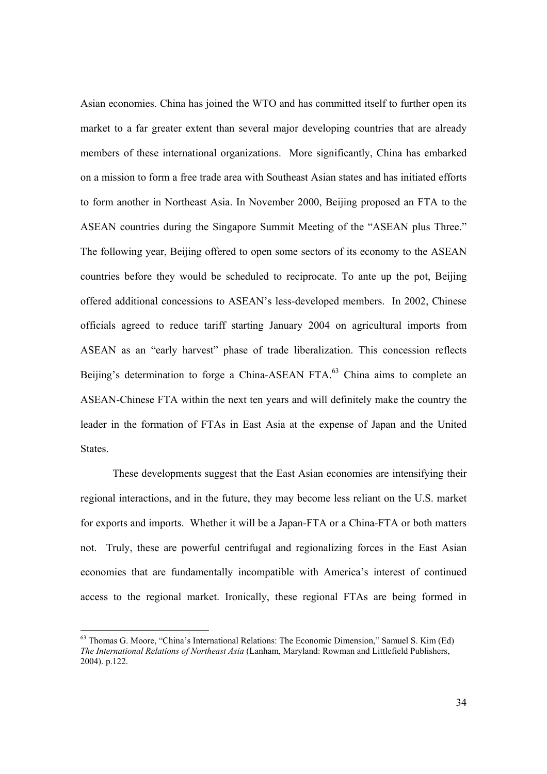Asian economies. China has joined the WTO and has committed itself to further open its market to a far greater extent than several major developing countries that are already members of these international organizations. More significantly, China has embarked on a mission to form a free trade area with Southeast Asian states and has initiated efforts to form another in Northeast Asia. In November 2000, Beijing proposed an FTA to the ASEAN countries during the Singapore Summit Meeting of the "ASEAN plus Three." The following year, Beijing offered to open some sectors of its economy to the ASEAN countries before they would be scheduled to reciprocate. To ante up the pot, Beijing offered additional concessions to ASEAN's less-developed members. In 2002, Chinese officials agreed to reduce tariff starting January 2004 on agricultural imports from ASEAN as an "early harvest" phase of trade liberalization. This concession reflects Beijing's determination to forge a China-ASEAN FTA.<sup>63</sup> China aims to complete an ASEAN-Chinese FTA within the next ten years and will definitely make the country the leader in the formation of FTAs in East Asia at the expense of Japan and the United **States**.

These developments suggest that the East Asian economies are intensifying their regional interactions, and in the future, they may become less reliant on the U.S. market for exports and imports. Whether it will be a Japan-FTA or a China-FTA or both matters not. Truly, these are powerful centrifugal and regionalizing forces in the East Asian economies that are fundamentally incompatible with America's interest of continued access to the regional market. Ironically, these regional FTAs are being formed in

<sup>&</sup>lt;sup>63</sup> Thomas G. Moore, "China's International Relations: The Economic Dimension," Samuel S. Kim (Ed) *The International Relations of Northeast Asia* (Lanham, Maryland: Rowman and Littlefield Publishers, 2004). p.122.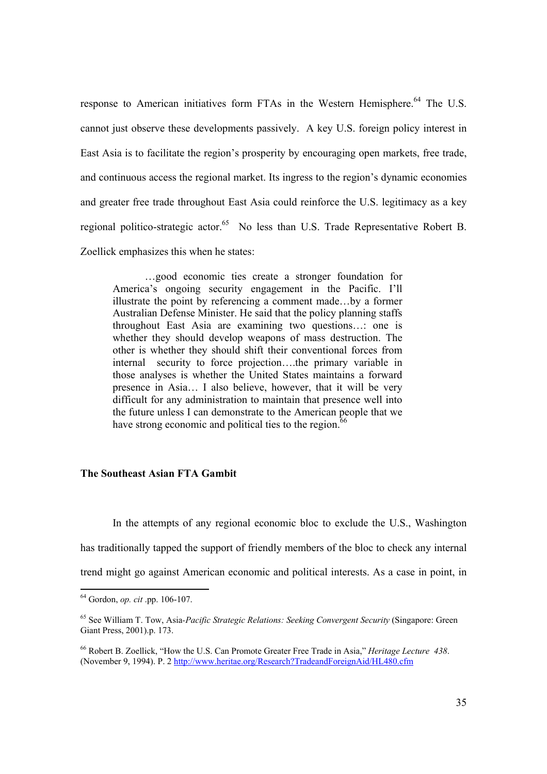response to American initiatives form FTAs in the Western Hemisphere.<sup>64</sup> The U.S. cannot just observe these developments passively. A key U.S. foreign policy interest in East Asia is to facilitate the region's prosperity by encouraging open markets, free trade, and continuous access the regional market. Its ingress to the region's dynamic economies and greater free trade throughout East Asia could reinforce the U.S. legitimacy as a key regional politico-strategic actor.<sup>65</sup> No less than U.S. Trade Representative Robert B. Zoellick emphasizes this when he states:

…good economic ties create a stronger foundation for America's ongoing security engagement in the Pacific. I'll illustrate the point by referencing a comment made…by a former Australian Defense Minister. He said that the policy planning staffs throughout East Asia are examining two questions…: one is whether they should develop weapons of mass destruction. The other is whether they should shift their conventional forces from internal security to force projection….the primary variable in those analyses is whether the United States maintains a forward presence in Asia… I also believe, however, that it will be very difficult for any administration to maintain that presence well into the future unless I can demonstrate to the American people that we have strong economic and political ties to the region.<sup>6</sup>

#### **The Southeast Asian FTA Gambit**

In the attempts of any regional economic bloc to exclude the U.S., Washington has traditionally tapped the support of friendly members of the bloc to check any internal trend might go against American economic and political interests. As a case in point, in

<sup>64</sup> Gordon, *op. cit* .pp. 106-107.

<sup>65</sup> See William T. Tow, Asia*-Pacific Strategic Relations: Seeking Convergent Security* (Singapore: Green Giant Press, 2001).p. 173.

<sup>66</sup> Robert B. Zoellick, "How the U.S. Can Promote Greater Free Trade in Asia," *Heritage Lecture 438*. (November 9, 1994). P. 2 http://www.heritae.org/Research?TradeandForeignAid/HL480.cfm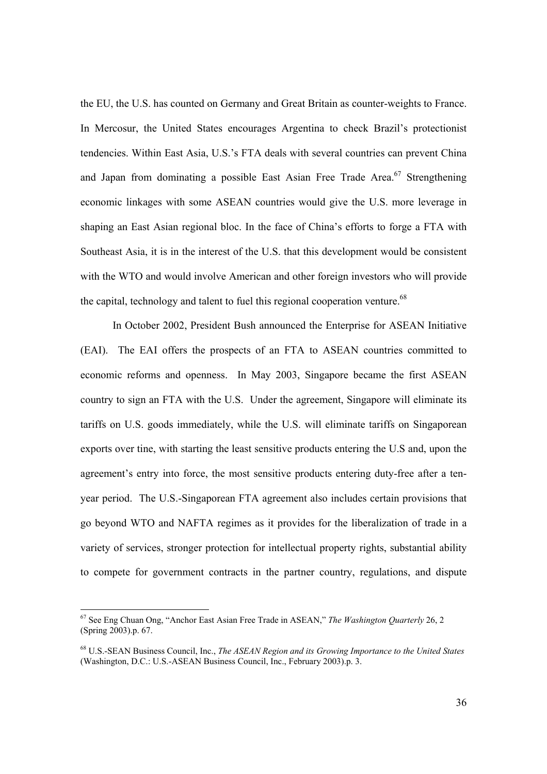the EU, the U.S. has counted on Germany and Great Britain as counter-weights to France. In Mercosur, the United States encourages Argentina to check Brazil's protectionist tendencies. Within East Asia, U.S.'s FTA deals with several countries can prevent China and Japan from dominating a possible East Asian Free Trade Area.<sup>67</sup> Strengthening economic linkages with some ASEAN countries would give the U.S. more leverage in shaping an East Asian regional bloc. In the face of China's efforts to forge a FTA with Southeast Asia, it is in the interest of the U.S. that this development would be consistent with the WTO and would involve American and other foreign investors who will provide the capital, technology and talent to fuel this regional cooperation venture.<sup>68</sup>

In October 2002, President Bush announced the Enterprise for ASEAN Initiative (EAI). The EAI offers the prospects of an FTA to ASEAN countries committed to economic reforms and openness. In May 2003, Singapore became the first ASEAN country to sign an FTA with the U.S. Under the agreement, Singapore will eliminate its tariffs on U.S. goods immediately, while the U.S. will eliminate tariffs on Singaporean exports over tine, with starting the least sensitive products entering the U.S and, upon the agreement's entry into force, the most sensitive products entering duty-free after a tenyear period. The U.S.-Singaporean FTA agreement also includes certain provisions that go beyond WTO and NAFTA regimes as it provides for the liberalization of trade in a variety of services, stronger protection for intellectual property rights, substantial ability to compete for government contracts in the partner country, regulations, and dispute

<sup>67</sup> See Eng Chuan Ong, "Anchor East Asian Free Trade in ASEAN," *The Washington Quarterly* 26, 2 (Spring 2003).p. 67.

<sup>68</sup> U.S.-SEAN Business Council, Inc., *The ASEAN Region and its Growing Importance to the United States* (Washington, D.C.: U.S.-ASEAN Business Council, Inc., February 2003).p. 3.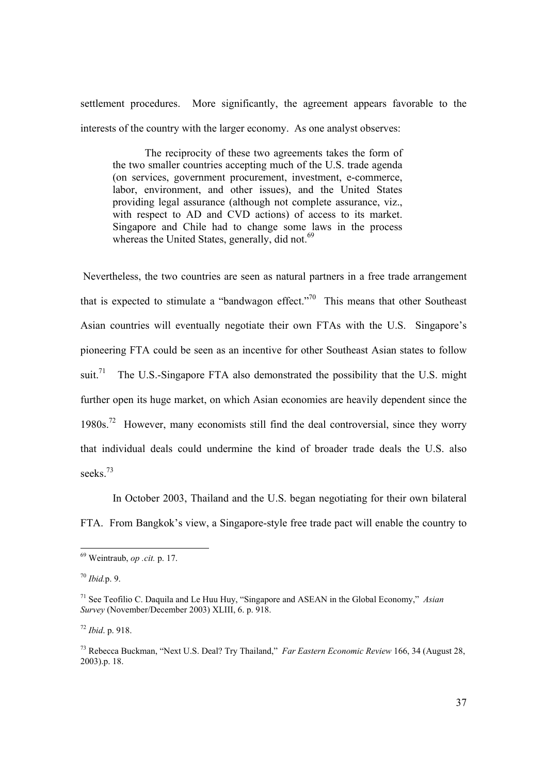settlement procedures. More significantly, the agreement appears favorable to the interests of the country with the larger economy. As one analyst observes:

The reciprocity of these two agreements takes the form of the two smaller countries accepting much of the U.S. trade agenda (on services, government procurement, investment, e-commerce, labor, environment, and other issues), and the United States providing legal assurance (although not complete assurance, viz., with respect to AD and CVD actions) of access to its market. Singapore and Chile had to change some laws in the process whereas the United States, generally, did not.<sup>69</sup>

 Nevertheless, the two countries are seen as natural partners in a free trade arrangement that is expected to stimulate a "bandwagon effect."70 This means that other Southeast Asian countries will eventually negotiate their own FTAs with the U.S. Singapore's pioneering FTA could be seen as an incentive for other Southeast Asian states to follow suit.<sup>71</sup> The U.S.-Singapore FTA also demonstrated the possibility that the U.S. might further open its huge market, on which Asian economies are heavily dependent since the 1980s.72 However, many economists still find the deal controversial, since they worry that individual deals could undermine the kind of broader trade deals the U.S. also seeks<sup>73</sup>

In October 2003, Thailand and the U.S. began negotiating for their own bilateral FTA. From Bangkok's view, a Singapore-style free trade pact will enable the country to

l

<sup>69</sup> Weintraub, *op .cit.* p. 17.

<sup>70</sup> *Ibid.*p. 9.

<sup>71</sup> See Teofilio C. Daquila and Le Huu Huy, "Singapore and ASEAN in the Global Economy," *Asian Survey* (November/December 2003) XLIII, 6. p. 918.

 $72$  *Ibid* n 918.

<sup>73</sup> Rebecca Buckman, "Next U.S. Deal? Try Thailand," *Far Eastern Economic Review* 166, 34 (August 28, 2003).p. 18.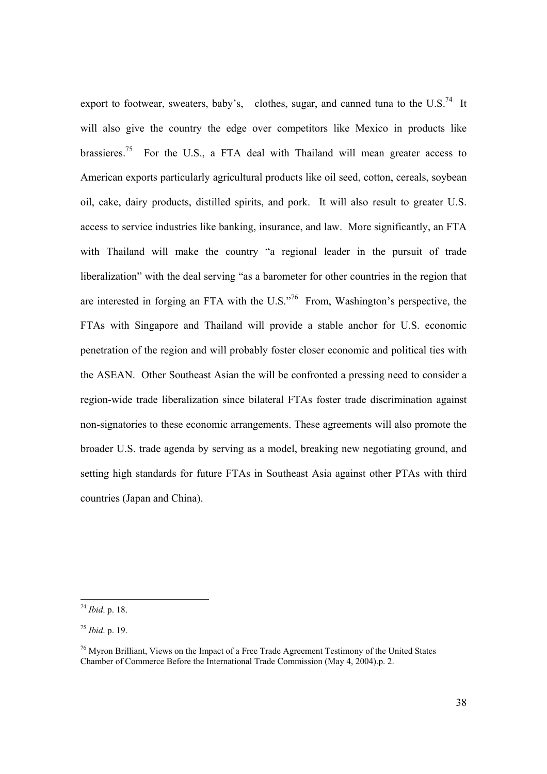export to footwear, sweaters, baby's, clothes, sugar, and canned tuna to the U.S.<sup>74</sup> It will also give the country the edge over competitors like Mexico in products like brassieres.<sup>75</sup> For the U.S., a FTA deal with Thailand will mean greater access to American exports particularly agricultural products like oil seed, cotton, cereals, soybean oil, cake, dairy products, distilled spirits, and pork. It will also result to greater U.S. access to service industries like banking, insurance, and law. More significantly, an FTA with Thailand will make the country "a regional leader in the pursuit of trade liberalization" with the deal serving "as a barometer for other countries in the region that are interested in forging an FTA with the U.S."76 From, Washington's perspective, the FTAs with Singapore and Thailand will provide a stable anchor for U.S. economic penetration of the region and will probably foster closer economic and political ties with the ASEAN. Other Southeast Asian the will be confronted a pressing need to consider a region-wide trade liberalization since bilateral FTAs foster trade discrimination against non-signatories to these economic arrangements. These agreements will also promote the broader U.S. trade agenda by serving as a model, breaking new negotiating ground, and setting high standards for future FTAs in Southeast Asia against other PTAs with third countries (Japan and China).

l

<sup>74</sup> *Ibid*. p. 18.

<sup>75</sup> *Ibid*. p. 19.

<sup>76</sup> Myron Brilliant, Views on the Impact of a Free Trade Agreement Testimony of the United States Chamber of Commerce Before the International Trade Commission (May 4, 2004).p. 2.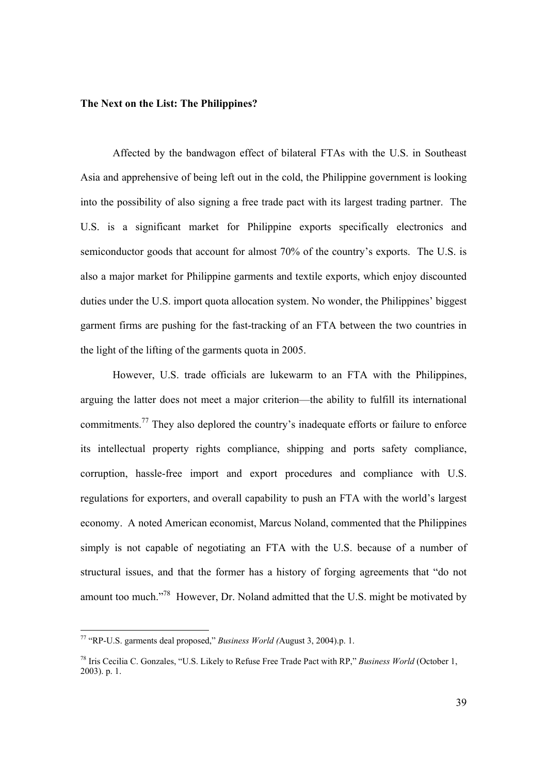#### **The Next on the List: The Philippines?**

Affected by the bandwagon effect of bilateral FTAs with the U.S. in Southeast Asia and apprehensive of being left out in the cold, the Philippine government is looking into the possibility of also signing a free trade pact with its largest trading partner. The U.S. is a significant market for Philippine exports specifically electronics and semiconductor goods that account for almost 70% of the country's exports. The U.S. is also a major market for Philippine garments and textile exports, which enjoy discounted duties under the U.S. import quota allocation system. No wonder, the Philippines' biggest garment firms are pushing for the fast-tracking of an FTA between the two countries in the light of the lifting of the garments quota in 2005.

However, U.S. trade officials are lukewarm to an FTA with the Philippines, arguing the latter does not meet a major criterion—the ability to fulfill its international commitments.77 They also deplored the country's inadequate efforts or failure to enforce its intellectual property rights compliance, shipping and ports safety compliance, corruption, hassle-free import and export procedures and compliance with U.S. regulations for exporters, and overall capability to push an FTA with the world's largest economy. A noted American economist, Marcus Noland, commented that the Philippines simply is not capable of negotiating an FTA with the U.S. because of a number of structural issues, and that the former has a history of forging agreements that "do not amount too much."78 However, Dr. Noland admitted that the U.S. might be motivated by

<sup>77 &</sup>quot;RP-U.S. garments deal proposed," *Business World (*August 3, 2004).p. 1.

<sup>78</sup> Iris Cecilia C. Gonzales, "U.S. Likely to Refuse Free Trade Pact with RP," *Business World* (October 1, 2003). p. 1.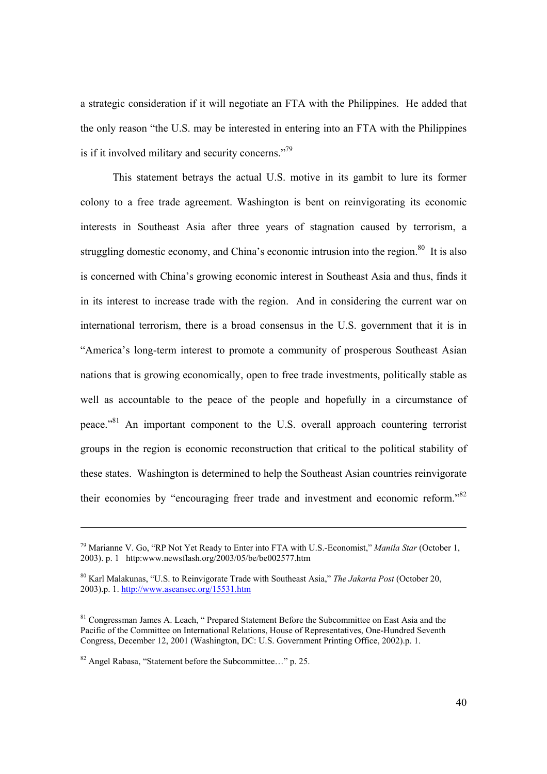a strategic consideration if it will negotiate an FTA with the Philippines. He added that the only reason "the U.S. may be interested in entering into an FTA with the Philippines is if it involved military and security concerns."<sup>79</sup>

This statement betrays the actual U.S. motive in its gambit to lure its former colony to a free trade agreement. Washington is bent on reinvigorating its economic interests in Southeast Asia after three years of stagnation caused by terrorism, a struggling domestic economy, and China's economic intrusion into the region. $80$  It is also is concerned with China's growing economic interest in Southeast Asia and thus, finds it in its interest to increase trade with the region. And in considering the current war on international terrorism, there is a broad consensus in the U.S. government that it is in "America's long-term interest to promote a community of prosperous Southeast Asian nations that is growing economically, open to free trade investments, politically stable as well as accountable to the peace of the people and hopefully in a circumstance of peace."81 An important component to the U.S. overall approach countering terrorist groups in the region is economic reconstruction that critical to the political stability of these states. Washington is determined to help the Southeast Asian countries reinvigorate their economies by "encouraging freer trade and investment and economic reform."82

<sup>79</sup> Marianne V. Go, "RP Not Yet Ready to Enter into FTA with U.S.-Economist," *Manila Star* (October 1, 2003). p. 1 http:www.newsflash.org/2003/05/be/be002577.htm

<sup>80</sup> Karl Malakunas, "U.S. to Reinvigorate Trade with Southeast Asia," *The Jakarta Post* (October 20, 2003).p. 1. http://www.aseansec.org/15531.htm

<sup>&</sup>lt;sup>81</sup> Congressman James A. Leach, " Prepared Statement Before the Subcommittee on East Asia and the Pacific of the Committee on International Relations, House of Representatives, One-Hundred Seventh Congress, December 12, 2001 (Washington, DC: U.S. Government Printing Office, 2002).p. 1.

<sup>82</sup> Angel Rabasa, "Statement before the Subcommittee…" p. 25.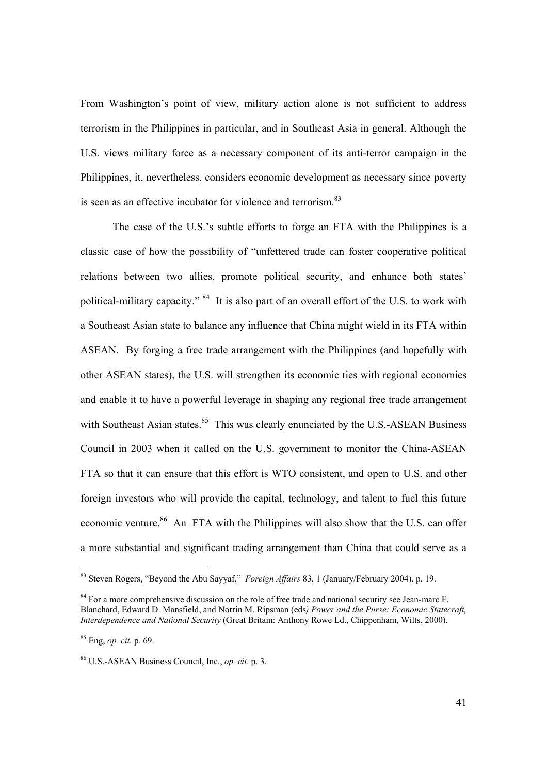From Washington's point of view, military action alone is not sufficient to address terrorism in the Philippines in particular, and in Southeast Asia in general. Although the U.S. views military force as a necessary component of its anti-terror campaign in the Philippines, it, nevertheless, considers economic development as necessary since poverty is seen as an effective incubator for violence and terrorism.<sup>83</sup>

The case of the U.S.'s subtle efforts to forge an FTA with the Philippines is a classic case of how the possibility of "unfettered trade can foster cooperative political relations between two allies, promote political security, and enhance both states' political-military capacity." 84 It is also part of an overall effort of the U.S. to work with a Southeast Asian state to balance any influence that China might wield in its FTA within ASEAN. By forging a free trade arrangement with the Philippines (and hopefully with other ASEAN states), the U.S. will strengthen its economic ties with regional economies and enable it to have a powerful leverage in shaping any regional free trade arrangement with Southeast Asian states.<sup>85</sup> This was clearly enunciated by the U.S.-ASEAN Business Council in 2003 when it called on the U.S. government to monitor the China-ASEAN FTA so that it can ensure that this effort is WTO consistent, and open to U.S. and other foreign investors who will provide the capital, technology, and talent to fuel this future economic venture.<sup>86</sup> An FTA with the Philippines will also show that the U.S. can offer a more substantial and significant trading arrangement than China that could serve as a

<sup>83</sup> Steven Rogers, "Beyond the Abu Sayyaf," *Foreign Affairs* 83, 1 (January/February 2004). p. 19.

<sup>&</sup>lt;sup>84</sup> For a more comprehensive discussion on the role of free trade and national security see Jean-marc F. Blanchard, Edward D. Mansfield, and Norrin M. Ripsman (eds*) Power and the Purse: Economic Statecraft, Interdependence and National Security* (Great Britain: Anthony Rowe Ld., Chippenham, Wilts, 2000).

<sup>85</sup> Eng, *op. cit.* p. 69.

<sup>86</sup> U.S.-ASEAN Business Council, Inc., *op. cit*. p. 3.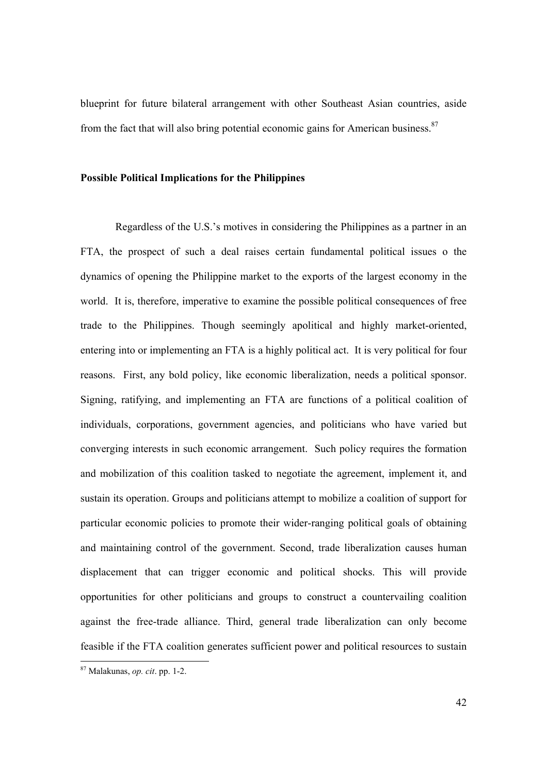blueprint for future bilateral arrangement with other Southeast Asian countries, aside from the fact that will also bring potential economic gains for American business. $87$ 

#### **Possible Political Implications for the Philippines**

Regardless of the U.S.'s motives in considering the Philippines as a partner in an FTA, the prospect of such a deal raises certain fundamental political issues o the dynamics of opening the Philippine market to the exports of the largest economy in the world. It is, therefore, imperative to examine the possible political consequences of free trade to the Philippines. Though seemingly apolitical and highly market-oriented, entering into or implementing an FTA is a highly political act. It is very political for four reasons. First, any bold policy, like economic liberalization, needs a political sponsor. Signing, ratifying, and implementing an FTA are functions of a political coalition of individuals, corporations, government agencies, and politicians who have varied but converging interests in such economic arrangement. Such policy requires the formation and mobilization of this coalition tasked to negotiate the agreement, implement it, and sustain its operation. Groups and politicians attempt to mobilize a coalition of support for particular economic policies to promote their wider-ranging political goals of obtaining and maintaining control of the government. Second, trade liberalization causes human displacement that can trigger economic and political shocks. This will provide opportunities for other politicians and groups to construct a countervailing coalition against the free-trade alliance. Third, general trade liberalization can only become feasible if the FTA coalition generates sufficient power and political resources to sustain

 $\overline{a}$ 

<sup>87</sup> Malakunas, *op. cit*. pp. 1-2.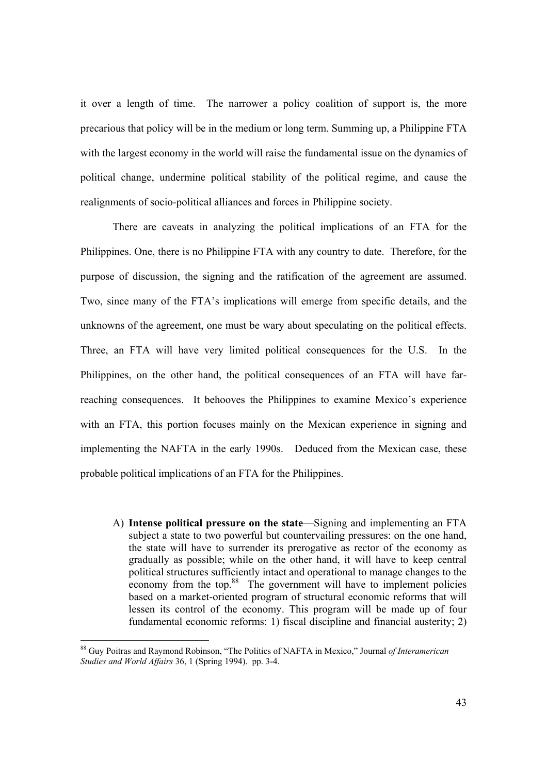it over a length of time. The narrower a policy coalition of support is, the more precarious that policy will be in the medium or long term. Summing up, a Philippine FTA with the largest economy in the world will raise the fundamental issue on the dynamics of political change, undermine political stability of the political regime, and cause the realignments of socio-political alliances and forces in Philippine society.

 There are caveats in analyzing the political implications of an FTA for the Philippines. One, there is no Philippine FTA with any country to date. Therefore, for the purpose of discussion, the signing and the ratification of the agreement are assumed. Two, since many of the FTA's implications will emerge from specific details, and the unknowns of the agreement, one must be wary about speculating on the political effects. Three, an FTA will have very limited political consequences for the U.S. In the Philippines, on the other hand, the political consequences of an FTA will have farreaching consequences. It behooves the Philippines to examine Mexico's experience with an FTA, this portion focuses mainly on the Mexican experience in signing and implementing the NAFTA in the early 1990s. Deduced from the Mexican case, these probable political implications of an FTA for the Philippines.

A) **Intense political pressure on the state**—Signing and implementing an FTA subject a state to two powerful but countervailing pressures: on the one hand, the state will have to surrender its prerogative as rector of the economy as gradually as possible; while on the other hand, it will have to keep central political structures sufficiently intact and operational to manage changes to the economy from the top.<sup>88</sup> The government will have to implement policies based on a market-oriented program of structural economic reforms that will lessen its control of the economy. This program will be made up of four fundamental economic reforms: 1) fiscal discipline and financial austerity; 2)

<sup>88</sup> Guy Poitras and Raymond Robinson, "The Politics of NAFTA in Mexico," Journal *of Interamerican Studies and World Affairs* 36, 1 (Spring 1994). pp. 3-4.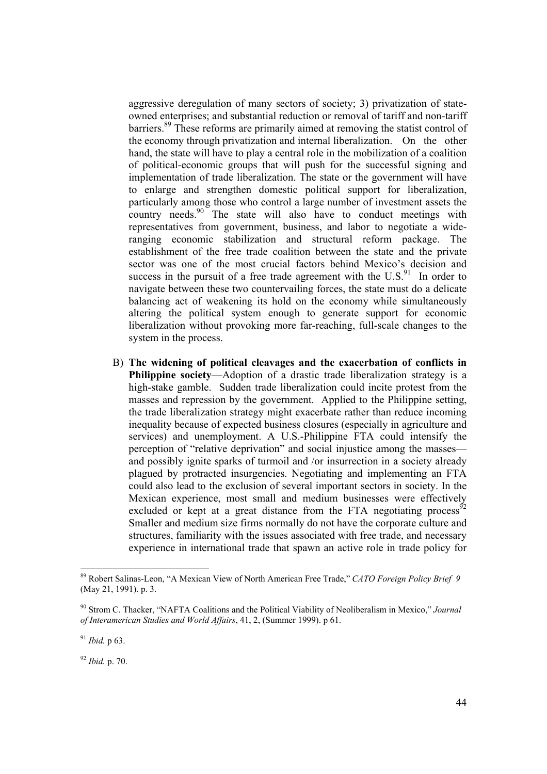aggressive deregulation of many sectors of society; 3) privatization of stateowned enterprises; and substantial reduction or removal of tariff and non-tariff barriers.89 These reforms are primarily aimed at removing the statist control of the economy through privatization and internal liberalization. On the other hand, the state will have to play a central role in the mobilization of a coalition of political-economic groups that will push for the successful signing and implementation of trade liberalization. The state or the government will have to enlarge and strengthen domestic political support for liberalization, particularly among those who control a large number of investment assets the country needs.<sup>90</sup> The state will also have to conduct meetings with representatives from government, business, and labor to negotiate a wideranging economic stabilization and structural reform package. The establishment of the free trade coalition between the state and the private sector was one of the most crucial factors behind Mexico's decision and success in the pursuit of a free trade agreement with the  $\mathrm{U.S.}^{91}$  In order to navigate between these two countervailing forces, the state must do a delicate balancing act of weakening its hold on the economy while simultaneously altering the political system enough to generate support for economic liberalization without provoking more far-reaching, full-scale changes to the system in the process.

B) **The widening of political cleavages and the exacerbation of conflicts in Philippine society**—Adoption of a drastic trade liberalization strategy is a high-stake gamble. Sudden trade liberalization could incite protest from the masses and repression by the government. Applied to the Philippine setting, the trade liberalization strategy might exacerbate rather than reduce incoming inequality because of expected business closures (especially in agriculture and services) and unemployment. A U.S.-Philippine FTA could intensify the perception of "relative deprivation" and social injustice among the masses and possibly ignite sparks of turmoil and /or insurrection in a society already plagued by protracted insurgencies. Negotiating and implementing an FTA could also lead to the exclusion of several important sectors in society. In the Mexican experience, most small and medium businesses were effectively excluded or kept at a great distance from the FTA negotiating process<sup> $\delta$ 2</sup> Smaller and medium size firms normally do not have the corporate culture and structures, familiarity with the issues associated with free trade, and necessary experience in international trade that spawn an active role in trade policy for

<sup>92</sup> *Ibid.* p. 70.

<sup>89</sup> Robert Salinas-Leon, "A Mexican View of North American Free Trade," *CATO Foreign Policy Brief 9* (May 21, 1991). p. 3.

<sup>90</sup> Strom C. Thacker, "NAFTA Coalitions and the Political Viability of Neoliberalism in Mexico," *Journal of Interamerican Studies and World Affairs*, 41, 2, (Summer 1999). p 61.

<sup>91</sup> *Ibid.* p 63.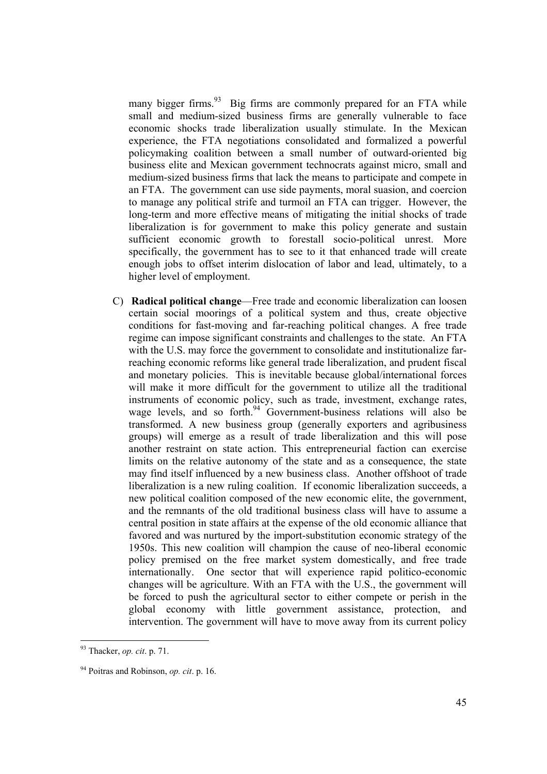many bigger firms.<sup>93</sup> Big firms are commonly prepared for an FTA while small and medium-sized business firms are generally vulnerable to face economic shocks trade liberalization usually stimulate. In the Mexican experience, the FTA negotiations consolidated and formalized a powerful policymaking coalition between a small number of outward-oriented big business elite and Mexican government technocrats against micro, small and medium-sized business firms that lack the means to participate and compete in an FTA. The government can use side payments, moral suasion, and coercion to manage any political strife and turmoil an FTA can trigger. However, the long-term and more effective means of mitigating the initial shocks of trade liberalization is for government to make this policy generate and sustain sufficient economic growth to forestall socio-political unrest. More specifically, the government has to see to it that enhanced trade will create enough jobs to offset interim dislocation of labor and lead, ultimately, to a higher level of employment.

C) **Radical political change**—Free trade and economic liberalization can loosen certain social moorings of a political system and thus, create objective conditions for fast-moving and far-reaching political changes. A free trade regime can impose significant constraints and challenges to the state. An FTA with the U.S. may force the government to consolidate and institutionalize farreaching economic reforms like general trade liberalization, and prudent fiscal and monetary policies. This is inevitable because global/international forces will make it more difficult for the government to utilize all the traditional instruments of economic policy, such as trade, investment, exchange rates, wage levels, and so forth.<sup>94</sup> Government-business relations will also be transformed. A new business group (generally exporters and agribusiness groups) will emerge as a result of trade liberalization and this will pose another restraint on state action. This entrepreneurial faction can exercise limits on the relative autonomy of the state and as a consequence, the state may find itself influenced by a new business class. Another offshoot of trade liberalization is a new ruling coalition. If economic liberalization succeeds, a new political coalition composed of the new economic elite, the government, and the remnants of the old traditional business class will have to assume a central position in state affairs at the expense of the old economic alliance that favored and was nurtured by the import-substitution economic strategy of the 1950s. This new coalition will champion the cause of neo-liberal economic policy premised on the free market system domestically, and free trade internationally. One sector that will experience rapid politico-economic changes will be agriculture. With an FTA with the U.S., the government will be forced to push the agricultural sector to either compete or perish in the global economy with little government assistance, protection, and intervention. The government will have to move away from its current policy

<sup>93</sup> Thacker, *op. cit*. p. 71.

<sup>94</sup> Poitras and Robinson, *op. cit*. p. 16.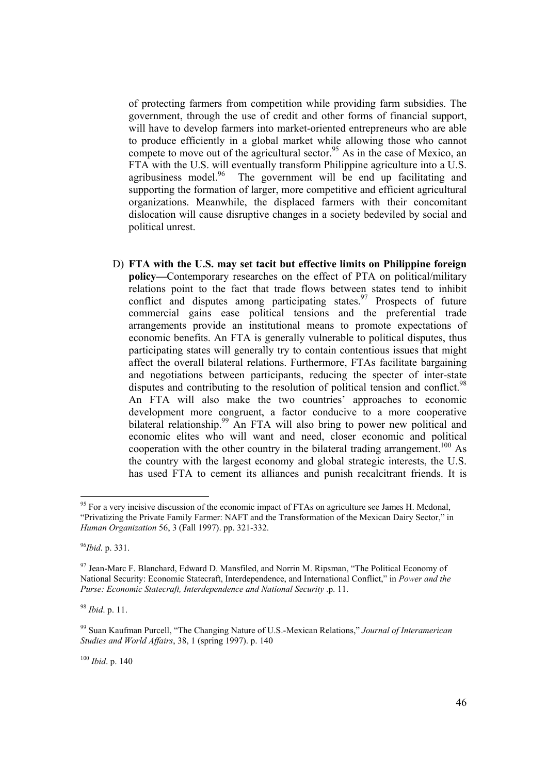of protecting farmers from competition while providing farm subsidies. The government, through the use of credit and other forms of financial support, will have to develop farmers into market-oriented entrepreneurs who are able to produce efficiently in a global market while allowing those who cannot compete to move out of the agricultural sector.<sup>95</sup> As in the case of Mexico, an FTA with the U.S. will eventually transform Philippine agriculture into a U.S. agribusiness model.<sup>96</sup> The government will be end up facilitating and supporting the formation of larger, more competitive and efficient agricultural organizations. Meanwhile, the displaced farmers with their concomitant dislocation will cause disruptive changes in a society bedeviled by social and political unrest.

D) **FTA with the U.S. may set tacit but effective limits on Philippine foreign policy—**Contemporary researches on the effect of PTA on political/military relations point to the fact that trade flows between states tend to inhibit conflict and disputes among participating states. $\frac{97}{97}$  Prospects of future commercial gains ease political tensions and the preferential trade arrangements provide an institutional means to promote expectations of economic benefits. An FTA is generally vulnerable to political disputes, thus participating states will generally try to contain contentious issues that might affect the overall bilateral relations. Furthermore, FTAs facilitate bargaining and negotiations between participants, reducing the specter of inter-state disputes and contributing to the resolution of political tension and conflict.<sup>98</sup> An FTA will also make the two countries' approaches to economic development more congruent, a factor conducive to a more cooperative bilateral relationship.<sup>99</sup> An FTA will also bring to power new political and economic elites who will want and need, closer economic and political cooperation with the other country in the bilateral trading arrangement.<sup>100</sup> As the country with the largest economy and global strategic interests, the U.S. has used FTA to cement its alliances and punish recalcitrant friends. It is

<sup>98</sup> *Ibid*. p. 11.

<sup>100</sup> *Ibid*. p. 140

<sup>&</sup>lt;sup>95</sup> For a very incisive discussion of the economic impact of FTAs on agriculture see James H. Mcdonal, "Privatizing the Private Family Farmer: NAFT and the Transformation of the Mexican Dairy Sector," in *Human Organization* 56, 3 (Fall 1997). pp. 321-332.

<sup>96</sup>*Ibid*. p. 331.

<sup>&</sup>lt;sup>97</sup> Jean-Marc F. Blanchard, Edward D. Mansfiled, and Norrin M. Ripsman, "The Political Economy of National Security: Economic Statecraft, Interdependence, and International Conflict," in *Power and the Purse: Economic Statecraft, Interdependence and National Security* .p. 11.

<sup>99</sup> Suan Kaufman Purcell, "The Changing Nature of U.S.-Mexican Relations," *Journal of Interamerican Studies and World Affairs*, 38, 1 (spring 1997). p. 140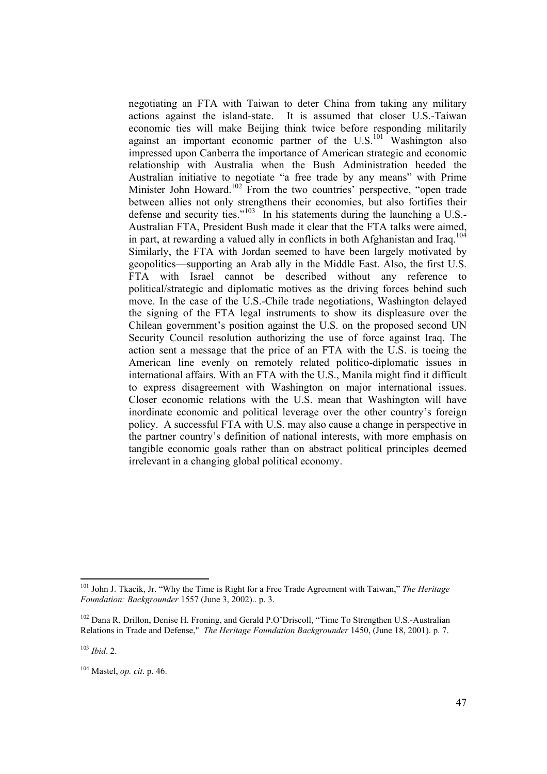negotiating an FTA with Taiwan to deter China from taking any military actions against the island-state. It is assumed that closer U.S.-Taiwan economic ties will make Beijing think twice before responding militarily against an important economic partner of the U.S.<sup>101</sup> Washington also impressed upon Canberra the importance of American strategic and economic relationship with Australia when the Bush Administration heeded the Australian initiative to negotiate "a free trade by any means" with Prime Minister John Howard.<sup>102</sup> From the two countries' perspective, "open trade between allies not only strengthens their economies, but also fortifies their defense and security ties."<sup>103</sup> In his statements during the launching a U.S.-Australian FTA, President Bush made it clear that the FTA talks were aimed, in part, at rewarding a valued ally in conflicts in both Afghanistan and Iraq. $104$ Similarly, the FTA with Jordan seemed to have been largely motivated by geopolitics—supporting an Arab ally in the Middle East. Also, the first U.S. FTA with Israel cannot be described without any reference to political/strategic and diplomatic motives as the driving forces behind such move. In the case of the U.S.-Chile trade negotiations, Washington delayed the signing of the FTA legal instruments to show its displeasure over the Chilean government's position against the U.S. on the proposed second UN Security Council resolution authorizing the use of force against Iraq. The action sent a message that the price of an FTA with the U.S. is toeing the American line evenly on remotely related politico-diplomatic issues in international affairs. With an FTA with the U.S., Manila might find it difficult to express disagreement with Washington on major international issues. Closer economic relations with the U.S. mean that Washington will have inordinate economic and political leverage over the other country's foreign policy. A successful FTA with U.S. may also cause a change in perspective in the partner country's definition of national interests, with more emphasis on tangible economic goals rather than on abstract political principles deemed irrelevant in a changing global political economy.

<sup>101</sup> John J. Tkacik, Jr. "Why the Time is Right for a Free Trade Agreement with Taiwan," *The Heritage Foundation: Backgrounder* 1557 (June 3, 2002).. p. 3.

<sup>&</sup>lt;sup>102</sup> Dana R. Drillon, Denise H. Froning, and Gerald P.O'Driscoll, "Time To Strengthen U.S.-Australian Relations in Trade and Defense," *The Heritage Foundation Backgrounder* 1450, (June 18, 2001). p. 7.

<sup>103</sup> *Ibid*. 2.

<sup>104</sup> Mastel, *op. cit*. p. 46.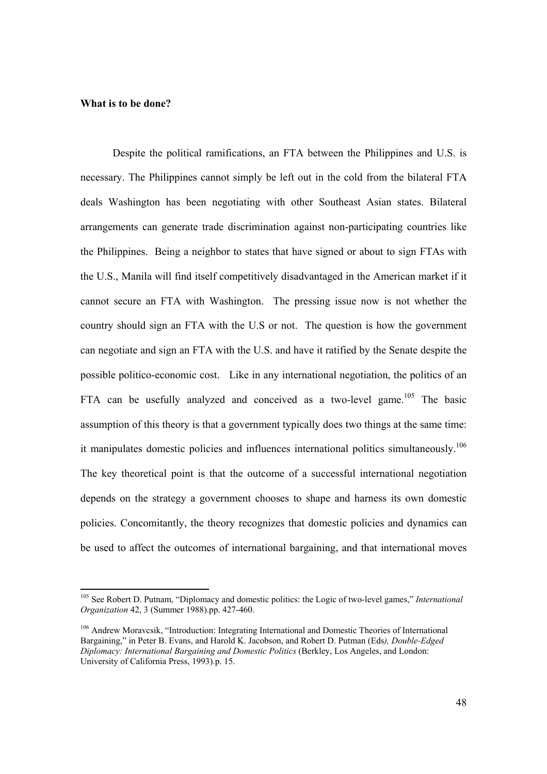#### **What is to be done?**

Despite the political ramifications, an FTA between the Philippines and U.S. is necessary. The Philippines cannot simply be left out in the cold from the bilateral FTA deals Washington has been negotiating with other Southeast Asian states. Bilateral arrangements can generate trade discrimination against non-participating countries like the Philippines. Being a neighbor to states that have signed or about to sign FTAs with the U.S., Manila will find itself competitively disadvantaged in the American market if it cannot secure an FTA with Washington. The pressing issue now is not whether the country should sign an FTA with the U.S or not. The question is how the government can negotiate and sign an FTA with the U.S. and have it ratified by the Senate despite the possible politico-economic cost. Like in any international negotiation, the politics of an FTA can be usefully analyzed and conceived as a two-level game.<sup>105</sup> The basic assumption of this theory is that a government typically does two things at the same time: it manipulates domestic policies and influences international politics simultaneously.<sup>106</sup> The key theoretical point is that the outcome of a successful international negotiation depends on the strategy a government chooses to shape and harness its own domestic policies. Concomitantly, the theory recognizes that domestic policies and dynamics can be used to affect the outcomes of international bargaining, and that international moves

<sup>105</sup> See Robert D. Putnam, "Diplomacy and domestic politics: the Logic of two-level games," *International Organization* 42, 3 (Summer 1988).pp. 427-460.

<sup>106</sup> Andrew Moravcsik, "Introduction: Integrating International and Domestic Theories of International Bargaining," in Peter B. Evans, and Harold K. Jacobson, and Robert D. Putman (Eds*), Double-Edged Diplomacy: International Bargaining and Domestic Politics* (Berkley, Los Angeles, and London: University of California Press, 1993).p. 15.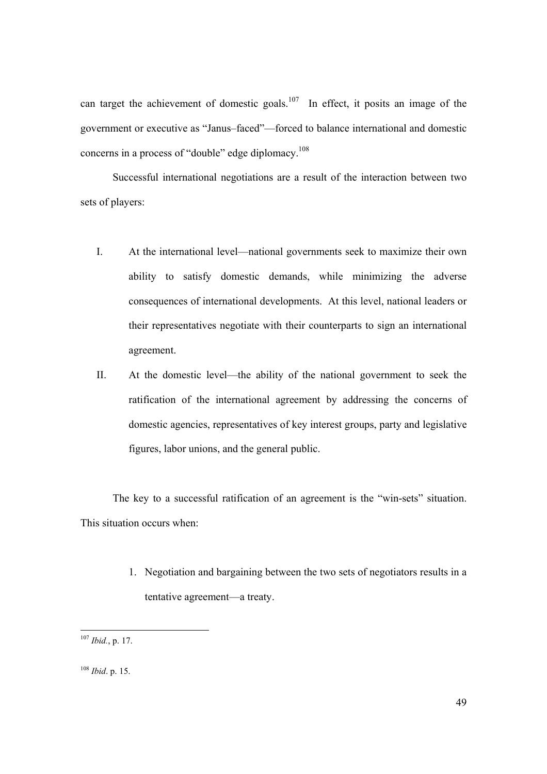can target the achievement of domestic goals.<sup>107</sup> In effect, it posits an image of the government or executive as "Janus–faced"—forced to balance international and domestic concerns in a process of "double" edge diplomacy.<sup>108</sup>

 Successful international negotiations are a result of the interaction between two sets of players:

- I. At the international level—national governments seek to maximize their own ability to satisfy domestic demands, while minimizing the adverse consequences of international developments. At this level, national leaders or their representatives negotiate with their counterparts to sign an international agreement.
- II. At the domestic level—the ability of the national government to seek the ratification of the international agreement by addressing the concerns of domestic agencies, representatives of key interest groups, party and legislative figures, labor unions, and the general public.

 The key to a successful ratification of an agreement is the "win-sets" situation. This situation occurs when:

> 1. Negotiation and bargaining between the two sets of negotiators results in a tentative agreement—a treaty.

<sup>107</sup> *Ibid.*, p. 17.

<sup>108</sup> *Ibid*. p. 15.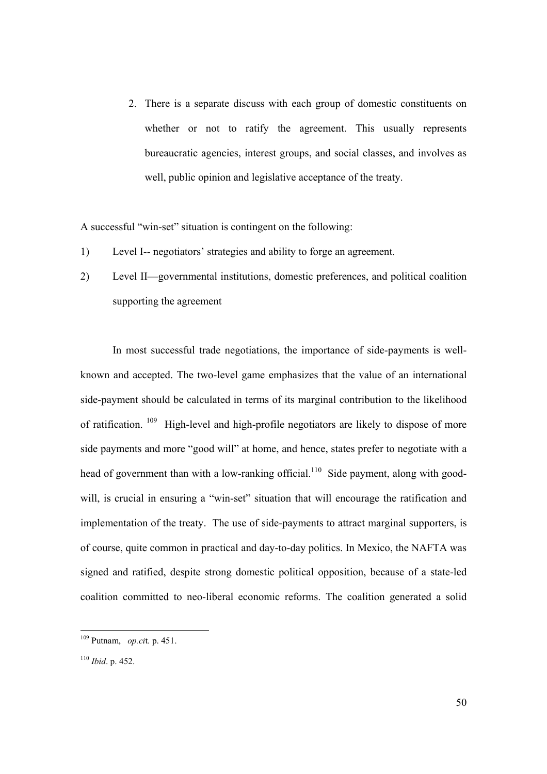2. There is a separate discuss with each group of domestic constituents on whether or not to ratify the agreement. This usually represents bureaucratic agencies, interest groups, and social classes, and involves as well, public opinion and legislative acceptance of the treaty.

A successful "win-set" situation is contingent on the following:

- 1) Level I-- negotiators' strategies and ability to forge an agreement.
- 2) Level II—governmental institutions, domestic preferences, and political coalition supporting the agreement

 In most successful trade negotiations, the importance of side-payments is wellknown and accepted. The two-level game emphasizes that the value of an international side-payment should be calculated in terms of its marginal contribution to the likelihood of ratification. 109 High-level and high-profile negotiators are likely to dispose of more side payments and more "good will" at home, and hence, states prefer to negotiate with a head of government than with a low-ranking official.<sup>110</sup> Side payment, along with goodwill, is crucial in ensuring a "win-set" situation that will encourage the ratification and implementation of the treaty. The use of side-payments to attract marginal supporters, is of course, quite common in practical and day-to-day politics. In Mexico, the NAFTA was signed and ratified, despite strong domestic political opposition, because of a state-led coalition committed to neo-liberal economic reforms. The coalition generated a solid

<sup>109</sup> Putnam, *op.ci*t. p. 451.

<sup>110</sup> *Ibid*. p. 452.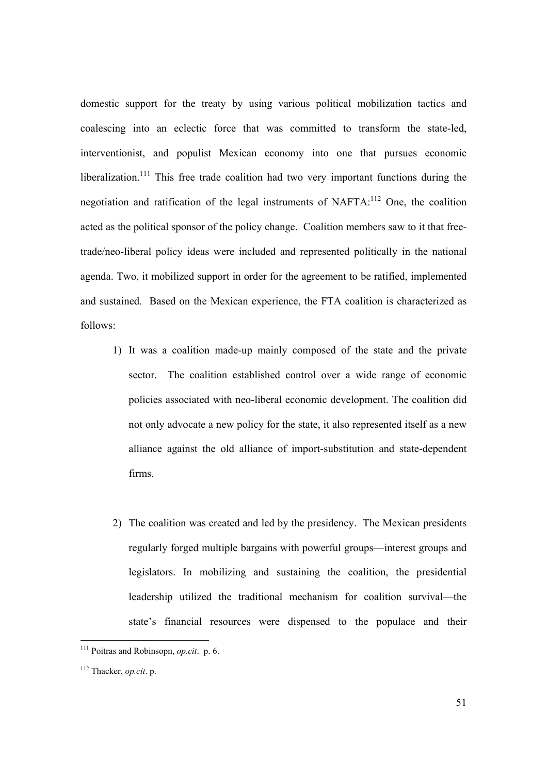domestic support for the treaty by using various political mobilization tactics and coalescing into an eclectic force that was committed to transform the state-led, interventionist, and populist Mexican economy into one that pursues economic liberalization.<sup>111</sup> This free trade coalition had two very important functions during the negotiation and ratification of the legal instruments of NAFTA:112 One, the coalition acted as the political sponsor of the policy change. Coalition members saw to it that freetrade/neo-liberal policy ideas were included and represented politically in the national agenda. Two, it mobilized support in order for the agreement to be ratified, implemented and sustained. Based on the Mexican experience, the FTA coalition is characterized as follows:

- 1) It was a coalition made-up mainly composed of the state and the private sector. The coalition established control over a wide range of economic policies associated with neo-liberal economic development. The coalition did not only advocate a new policy for the state, it also represented itself as a new alliance against the old alliance of import-substitution and state-dependent firms.
- 2) The coalition was created and led by the presidency. The Mexican presidents regularly forged multiple bargains with powerful groups—interest groups and legislators. In mobilizing and sustaining the coalition, the presidential leadership utilized the traditional mechanism for coalition survival—the state's financial resources were dispensed to the populace and their

<sup>111</sup> Poitras and Robinsopn, *op.cit*. p. 6.

<sup>112</sup> Thacker, *op.cit*. p.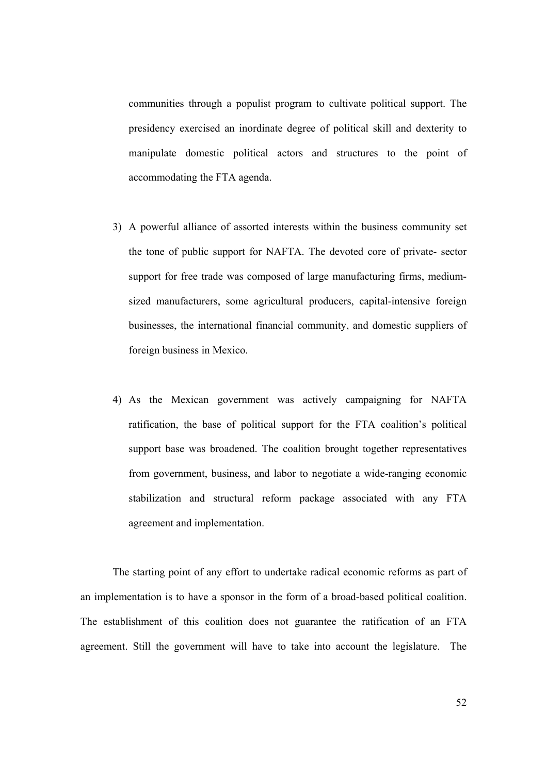communities through a populist program to cultivate political support. The presidency exercised an inordinate degree of political skill and dexterity to manipulate domestic political actors and structures to the point of accommodating the FTA agenda.

- 3) A powerful alliance of assorted interests within the business community set the tone of public support for NAFTA. The devoted core of private- sector support for free trade was composed of large manufacturing firms, mediumsized manufacturers, some agricultural producers, capital-intensive foreign businesses, the international financial community, and domestic suppliers of foreign business in Mexico.
- 4) As the Mexican government was actively campaigning for NAFTA ratification, the base of political support for the FTA coalition's political support base was broadened. The coalition brought together representatives from government, business, and labor to negotiate a wide-ranging economic stabilization and structural reform package associated with any FTA agreement and implementation.

 The starting point of any effort to undertake radical economic reforms as part of an implementation is to have a sponsor in the form of a broad-based political coalition. The establishment of this coalition does not guarantee the ratification of an FTA agreement. Still the government will have to take into account the legislature. The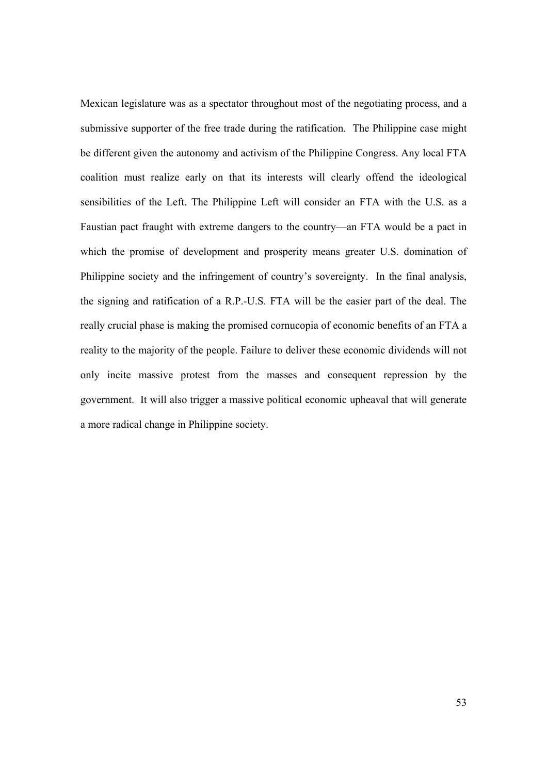Mexican legislature was as a spectator throughout most of the negotiating process, and a submissive supporter of the free trade during the ratification. The Philippine case might be different given the autonomy and activism of the Philippine Congress. Any local FTA coalition must realize early on that its interests will clearly offend the ideological sensibilities of the Left. The Philippine Left will consider an FTA with the U.S. as a Faustian pact fraught with extreme dangers to the country—an FTA would be a pact in which the promise of development and prosperity means greater U.S. domination of Philippine society and the infringement of country's sovereignty. In the final analysis, the signing and ratification of a R.P.-U.S. FTA will be the easier part of the deal. The really crucial phase is making the promised cornucopia of economic benefits of an FTA a reality to the majority of the people. Failure to deliver these economic dividends will not only incite massive protest from the masses and consequent repression by the government. It will also trigger a massive political economic upheaval that will generate a more radical change in Philippine society.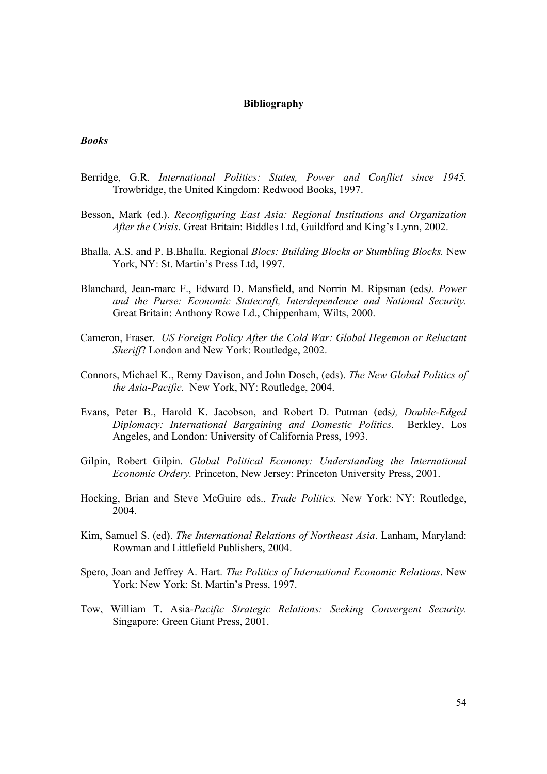#### **Bibliography**

#### *Books*

- Berridge, G.R. *International Politics: States, Power and Conflict since 1945.* Trowbridge, the United Kingdom: Redwood Books, 1997.
- Besson, Mark (ed.). *Reconfiguring East Asia: Regional Institutions and Organization After the Crisis*. Great Britain: Biddles Ltd, Guildford and King's Lynn, 2002.
- Bhalla, A.S. and P. B.Bhalla. Regional *Blocs: Building Blocks or Stumbling Blocks.* New York, NY: St. Martin's Press Ltd, 1997.
- Blanchard, Jean-marc F., Edward D. Mansfield, and Norrin M. Ripsman (eds*). Power and the Purse: Economic Statecraft, Interdependence and National Security.*  Great Britain: Anthony Rowe Ld., Chippenham, Wilts, 2000.
- Cameron, Fraser. *US Foreign Policy After the Cold War: Global Hegemon or Reluctant Sheriff*? London and New York: Routledge, 2002.
- Connors, Michael K., Remy Davison, and John Dosch, (eds). *The New Global Politics of the Asia-Pacific.* New York, NY: Routledge, 2004.
- Evans, Peter B., Harold K. Jacobson, and Robert D. Putman (eds*), Double-Edged Diplomacy: International Bargaining and Domestic Politics*. Berkley, Los Angeles, and London: University of California Press, 1993.
- Gilpin, Robert Gilpin. *Global Political Economy: Understanding the International Economic Ordery.* Princeton, New Jersey: Princeton University Press, 2001.
- Hocking, Brian and Steve McGuire eds., *Trade Politics.* New York: NY: Routledge, 2004.
- Kim, Samuel S. (ed). *The International Relations of Northeast Asia*. Lanham, Maryland: Rowman and Littlefield Publishers, 2004.
- Spero, Joan and Jeffrey A. Hart. *The Politics of International Economic Relations*. New York: New York: St. Martin's Press, 1997.
- Tow, William T. Asia*-Pacific Strategic Relations: Seeking Convergent Security.* Singapore: Green Giant Press, 2001.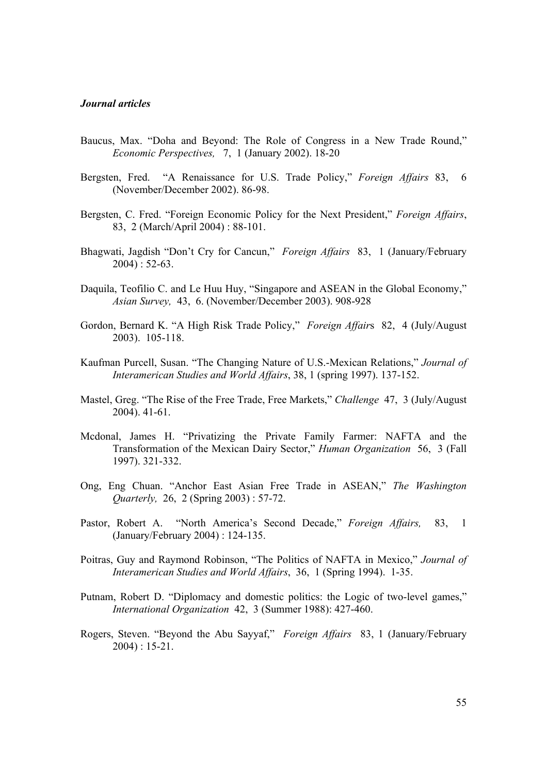#### *Journal articles*

- Baucus, Max. "Doha and Beyond: The Role of Congress in a New Trade Round," *Economic Perspectives,* 7, 1 (January 2002). 18-20
- Bergsten, Fred. "A Renaissance for U.S. Trade Policy," *Foreign Affairs* 83, 6 (November/December 2002). 86-98.
- Bergsten, C. Fred. "Foreign Economic Policy for the Next President," *Foreign Affairs*, 83, 2 (March/April 2004) : 88-101.
- Bhagwati, Jagdish "Don't Cry for Cancun," *Foreign Affairs* 83, 1 (January/February 2004) : 52-63.
- Daquila, Teofilio C. and Le Huu Huy, "Singapore and ASEAN in the Global Economy," *Asian Survey,* 43, 6. (November/December 2003). 908-928
- Gordon, Bernard K. "A High Risk Trade Policy," *Foreign Affair*s 82, 4 (July/August 2003). 105-118.
- Kaufman Purcell, Susan. "The Changing Nature of U.S.-Mexican Relations," *Journal of Interamerican Studies and World Affairs*, 38, 1 (spring 1997). 137-152.
- Mastel, Greg. "The Rise of the Free Trade, Free Markets," *Challenge* 47, 3 (July/August 2004). 41-61.
- Mcdonal, James H. "Privatizing the Private Family Farmer: NAFTA and the Transformation of the Mexican Dairy Sector," *Human Organization* 56, 3 (Fall 1997). 321-332.
- Ong, Eng Chuan. "Anchor East Asian Free Trade in ASEAN," *The Washington Quarterly,* 26, 2 (Spring 2003) : 57-72.
- Pastor, Robert A. "North America's Second Decade," *Foreign Affairs,* 83, 1 (January/February 2004) : 124-135.
- Poitras, Guy and Raymond Robinson, "The Politics of NAFTA in Mexico," *Journal of Interamerican Studies and World Affairs*, 36, 1 (Spring 1994). 1-35.
- Putnam, Robert D. "Diplomacy and domestic politics: the Logic of two-level games," *International Organization* 42, 3 (Summer 1988): 427-460.
- Rogers, Steven. "Beyond the Abu Sayyaf," *Foreign Affairs* 83, 1 (January/February 2004) : 15-21.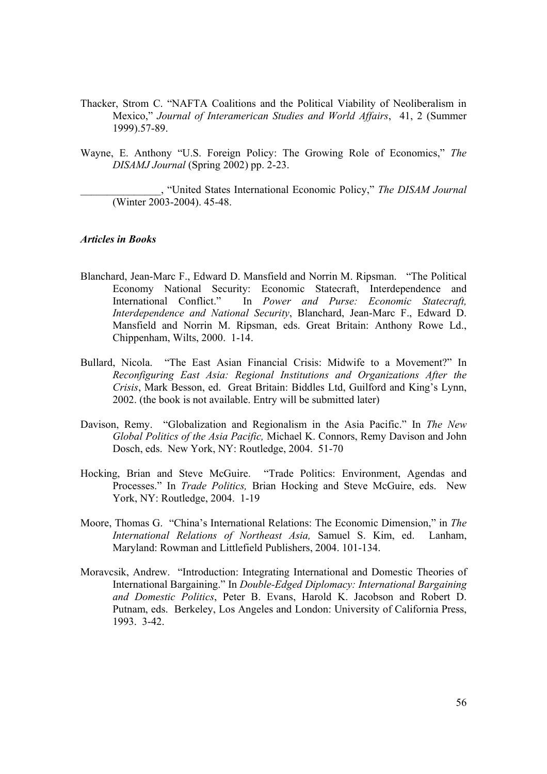- Thacker, Strom C. "NAFTA Coalitions and the Political Viability of Neoliberalism in Mexico," *Journal of Interamerican Studies and World Affairs*, 41, 2 (Summer 1999).57-89.
- Wayne, E. Anthony "U.S. Foreign Policy: The Growing Role of Economics," *The DISAMJ Journal* (Spring 2002) pp. 2-23.

\_\_\_\_\_\_\_\_\_\_\_\_\_\_\_, "United States International Economic Policy," *The DISAM Journal* (Winter 2003-2004). 45-48.

#### *Articles in Books*

- Blanchard, Jean-Marc F., Edward D. Mansfield and Norrin M. Ripsman. "The Political Economy National Security: Economic Statecraft, Interdependence and International Conflict." In *Power and Purse: Economic Statecraft, Interdependence and National Security*, Blanchard, Jean-Marc F., Edward D. Mansfield and Norrin M. Ripsman, eds. Great Britain: Anthony Rowe Ld., Chippenham, Wilts, 2000. 1-14.
- Bullard, Nicola. "The East Asian Financial Crisis: Midwife to a Movement?" In *Reconfiguring East Asia: Regional Institutions and Organizations After the Crisis*, Mark Besson, ed. Great Britain: Biddles Ltd, Guilford and King's Lynn, 2002. (the book is not available. Entry will be submitted later)
- Davison, Remy. "Globalization and Regionalism in the Asia Pacific." In *The New Global Politics of the Asia Pacific,* Michael K. Connors, Remy Davison and John Dosch, eds. New York, NY: Routledge, 2004. 51-70
- Hocking, Brian and Steve McGuire. "Trade Politics: Environment, Agendas and Processes." In *Trade Politics,* Brian Hocking and Steve McGuire, eds. New York, NY: Routledge, 2004. 1-19
- Moore, Thomas G. "China's International Relations: The Economic Dimension," in *The International Relations of Northeast Asia,* Samuel S. Kim, ed. Lanham, Maryland: Rowman and Littlefield Publishers, 2004. 101-134.
- Moravcsik, Andrew. "Introduction: Integrating International and Domestic Theories of International Bargaining." In *Double-Edged Diplomacy: International Bargaining and Domestic Politics*, Peter B. Evans, Harold K. Jacobson and Robert D. Putnam, eds. Berkeley, Los Angeles and London: University of California Press, 1993. 3-42.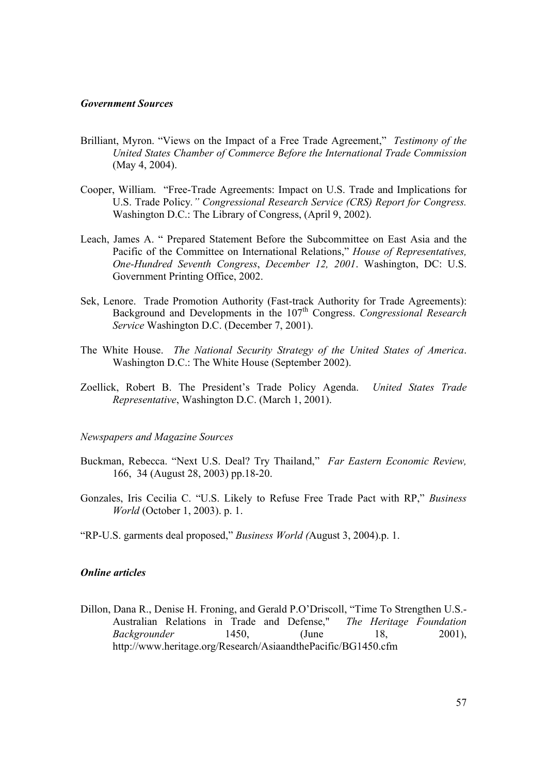#### *Government Sources*

- Brilliant, Myron. "Views on the Impact of a Free Trade Agreement," *Testimony of the United States Chamber of Commerce Before the International Trade Commission* (May 4, 2004).
- Cooper, William. "Free-Trade Agreements: Impact on U.S. Trade and Implications for U.S. Trade Policy*." Congressional Research Service (CRS) Report for Congress.* Washington D.C.: The Library of Congress, (April 9, 2002).
- Leach, James A. " Prepared Statement Before the Subcommittee on East Asia and the Pacific of the Committee on International Relations," *House of Representatives, One-Hundred Seventh Congress*, *December 12, 2001*. Washington, DC: U.S. Government Printing Office, 2002.
- Sek, Lenore. Trade Promotion Authority (Fast-track Authority for Trade Agreements): Background and Developments in the 107<sup>th</sup> Congress. *Congressional Research Service* Washington D.C. (December 7, 2001).
- The White House. *The National Security Strategy of the United States of America*. Washington D.C.: The White House (September 2002).
- Zoellick, Robert B. The President's Trade Policy Agenda. *United States Trade Representative*, Washington D.C. (March 1, 2001).

#### *Newspapers and Magazine Sources*

- Buckman, Rebecca. "Next U.S. Deal? Try Thailand," *Far Eastern Economic Review,*  166, 34 (August 28, 2003) pp.18-20.
- Gonzales, Iris Cecilia C. "U.S. Likely to Refuse Free Trade Pact with RP," *Business World* (October 1, 2003). p. 1.
- "RP-U.S. garments deal proposed," *Business World (*August 3, 2004).p. 1.

#### *Online articles*

Dillon, Dana R., Denise H. Froning, and Gerald P.O'Driscoll, "Time To Strengthen U.S.- Australian Relations in Trade and Defense," *The Heritage Foundation Backgrounder* 1450, (June 18, 2001), http://www.heritage.org/Research/AsiaandthePacific/BG1450.cfm